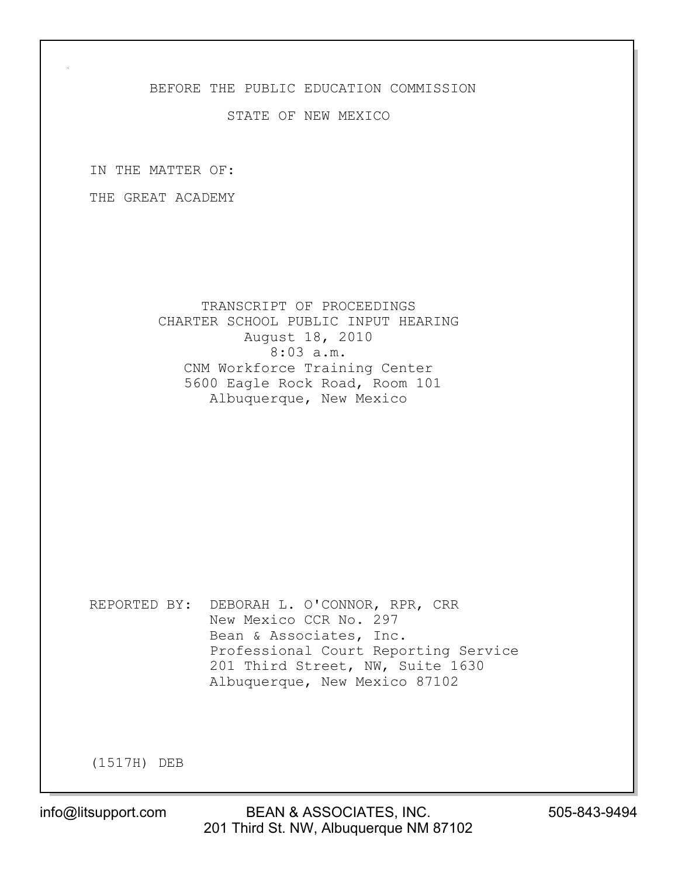## BEFORE THE PUBLIC EDUCATION COMMISSION

## STATE OF NEW MEXICO

IN THE MATTER OF:

THE GREAT ACADEMY

 TRANSCRIPT OF PROCEEDINGS CHARTER SCHOOL PUBLIC INPUT HEARING August 18, 2010 8:03 a.m. CNM Workforce Training Center 5600 Eagle Rock Road, Room 101 Albuquerque, New Mexico

REPORTED BY: DEBORAH L. O'CONNOR, RPR, CRR New Mexico CCR No. 297 Bean & Associates, Inc. Professional Court Reporting Service 201 Third Street, NW, Suite 1630 Albuquerque, New Mexico 87102

(1517H) DEB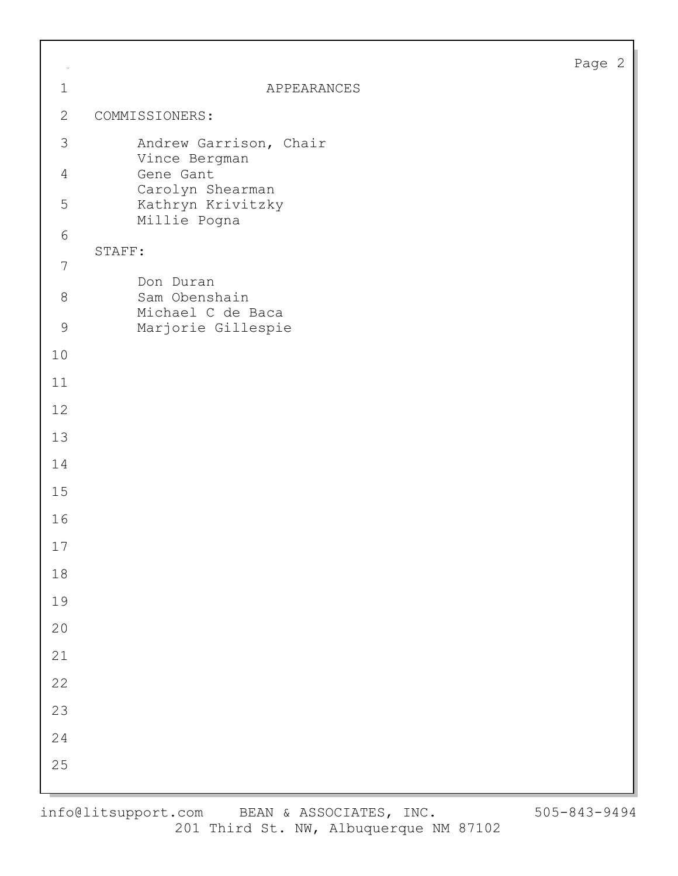|--|--|

| $\sim$         |                                                 | Page |
|----------------|-------------------------------------------------|------|
| $\mathbf 1$    | APPEARANCES                                     |      |
| $\mathbf{2}$   | COMMISSIONERS:                                  |      |
| 3              | Andrew Garrison, Chair<br>Vince Bergman         |      |
| $\overline{4}$ | Gene Gant<br>Carolyn Shearman                   |      |
| 5              | Kathryn Krivitzky<br>Millie Pogna               |      |
| $6\,$          | STAFF:                                          |      |
| $\overline{7}$ |                                                 |      |
| $8\,$          | Don Duran<br>Sam Obenshain<br>Michael C de Baca |      |
| $\mathsf 9$    | Marjorie Gillespie                              |      |
| 10             |                                                 |      |
| 11             |                                                 |      |
| 12             |                                                 |      |
| 13             |                                                 |      |
| 14             |                                                 |      |
| $15$           |                                                 |      |
| 16             |                                                 |      |
| $17$           |                                                 |      |
| $1\,8$         |                                                 |      |
| 19             |                                                 |      |
| $20$           |                                                 |      |
| 21             |                                                 |      |
| 22             |                                                 |      |
| 23             |                                                 |      |
| 24             |                                                 |      |
| 25             |                                                 |      |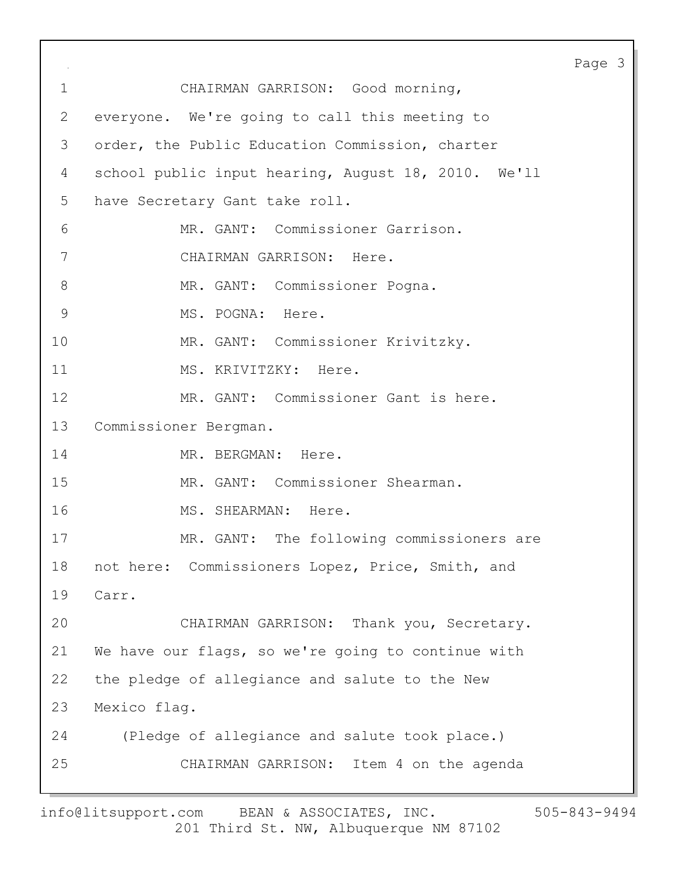Page 3 1 CHAIRMAN GARRISON: Good morning, 2 everyone. We're going to call this meeting to 3 order, the Public Education Commission, charter 4 school public input hearing, August 18, 2010. We'll 5 have Secretary Gant take roll. 6 MR. GANT: Commissioner Garrison. 7 CHAIRMAN GARRISON: Here. 8 MR. GANT: Commissioner Pogna. 9 MS. POGNA: Here. 10 MR. GANT: Commissioner Krivitzky. 11 MS. KRIVITZKY: Here. 12 MR. GANT: Commissioner Gant is here. 13 Commissioner Bergman. 14 MR. BERGMAN: Here. 15 MR. GANT: Commissioner Shearman. 16 MS. SHEARMAN: Here. 17 MR. GANT: The following commissioners are 18 not here: Commissioners Lopez, Price, Smith, and 19 Carr. 20 CHAIRMAN GARRISON: Thank you, Secretary. 21 We have our flags, so we're going to continue with 22 the pledge of allegiance and salute to the New 23 Mexico flag. 24 (Pledge of allegiance and salute took place.) 25 CHAIRMAN GARRISON: Item 4 on the agenda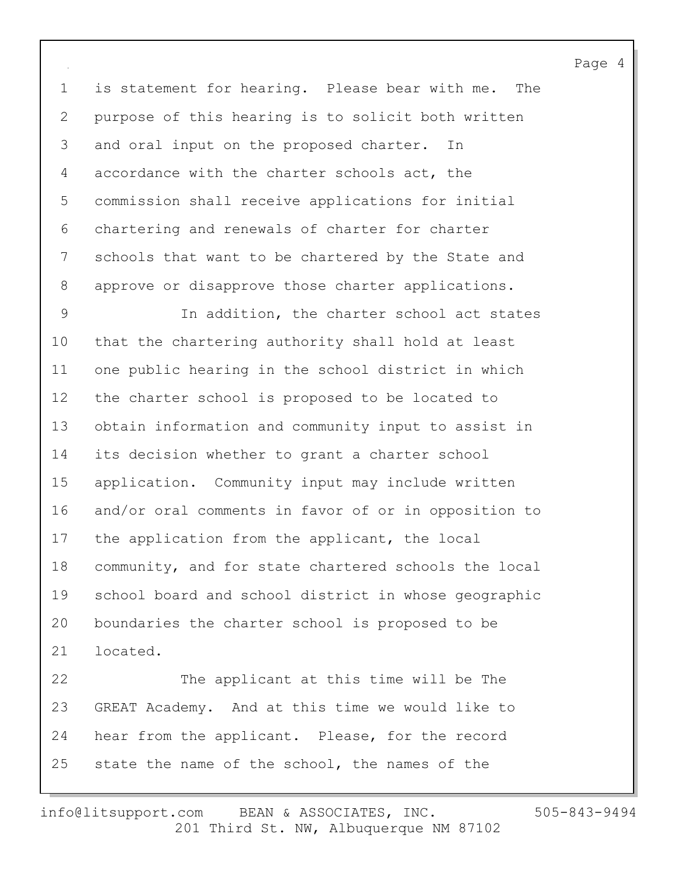1 is statement for hearing. Please bear with me. The 2 purpose of this hearing is to solicit both written 3 and oral input on the proposed charter. In 4 accordance with the charter schools act, the 5 commission shall receive applications for initial 6 chartering and renewals of charter for charter 7 schools that want to be chartered by the State and 8 approve or disapprove those charter applications.

9 In addition, the charter school act states 10 that the chartering authority shall hold at least 11 one public hearing in the school district in which 12 the charter school is proposed to be located to 13 obtain information and community input to assist in 14 its decision whether to grant a charter school 15 application. Community input may include written 16 and/or oral comments in favor of or in opposition to 17 the application from the applicant, the local 18 community, and for state chartered schools the local 19 school board and school district in whose geographic 20 boundaries the charter school is proposed to be 21 located.

22 The applicant at this time will be The 23 GREAT Academy. And at this time we would like to 24 hear from the applicant. Please, for the record 25 state the name of the school, the names of the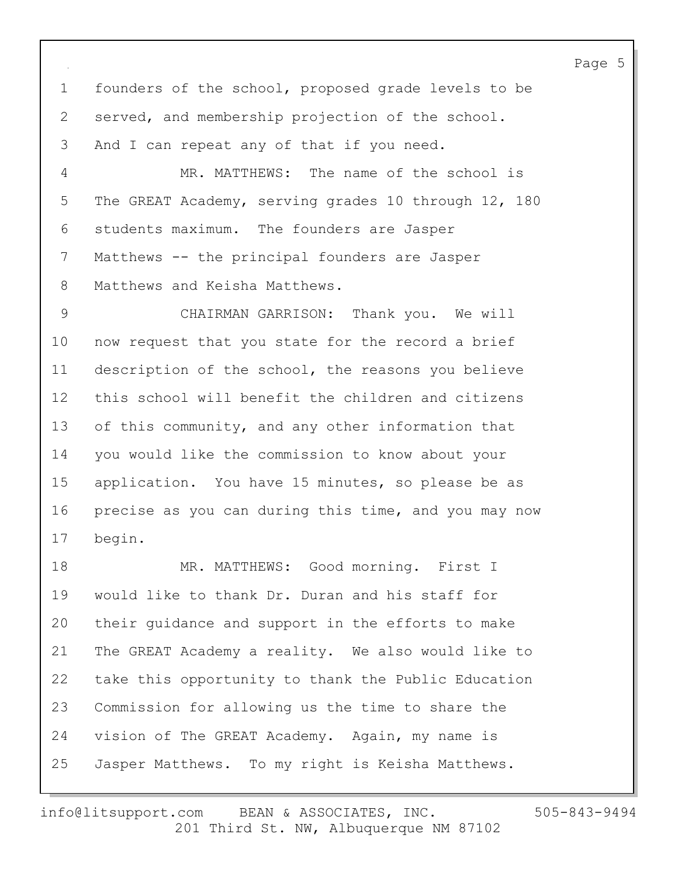1 founders of the school, proposed grade levels to be 2 served, and membership projection of the school. 3 And I can repeat any of that if you need.

4 MR. MATTHEWS: The name of the school is 5 The GREAT Academy, serving grades 10 through 12, 180 6 students maximum. The founders are Jasper 7 Matthews -- the principal founders are Jasper 8 Matthews and Keisha Matthews.

9 CHAIRMAN GARRISON: Thank you. We will 10 now request that you state for the record a brief 11 description of the school, the reasons you believe 12 this school will benefit the children and citizens 13 of this community, and any other information that 14 you would like the commission to know about your 15 application. You have 15 minutes, so please be as 16 precise as you can during this time, and you may now 17 begin.

18 MR. MATTHEWS: Good morning. First I 19 would like to thank Dr. Duran and his staff for 20 their guidance and support in the efforts to make 21 The GREAT Academy a reality. We also would like to 22 take this opportunity to thank the Public Education 23 Commission for allowing us the time to share the 24 vision of The GREAT Academy. Again, my name is 25 Jasper Matthews. To my right is Keisha Matthews.

201 Third St. NW, Albuquerque NM 87102 info@litsupport.com BEAN & ASSOCIATES, INC. 505-843-9494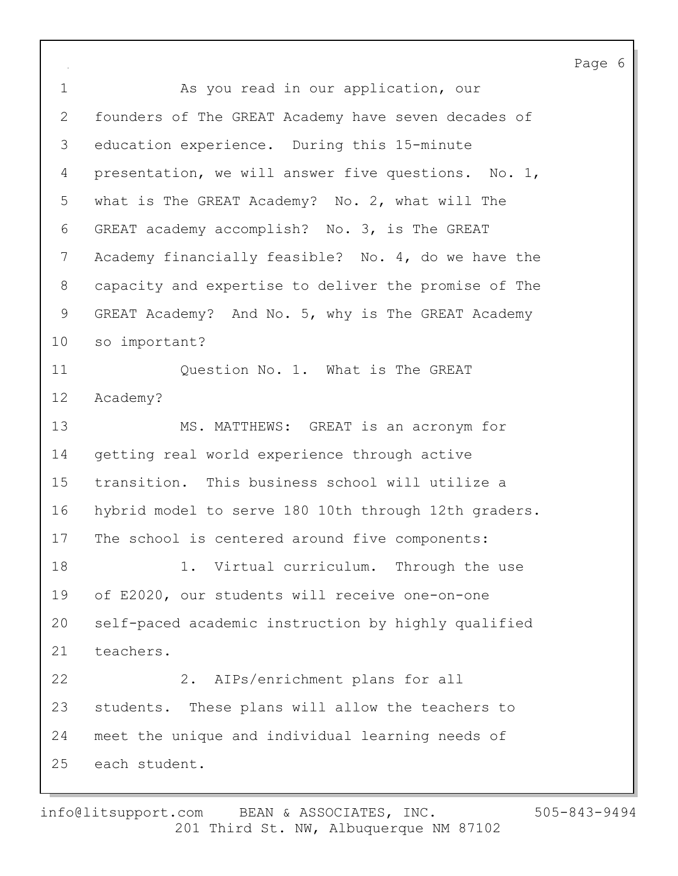Page 6 1 As you read in our application, our 2 founders of The GREAT Academy have seven decades of 3 education experience. During this 15-minute 4 presentation, we will answer five questions. No. 1, 5 what is The GREAT Academy? No. 2, what will The 6 GREAT academy accomplish? No. 3, is The GREAT 7 Academy financially feasible? No. 4, do we have the 8 capacity and expertise to deliver the promise of The 9 GREAT Academy? And No. 5, why is The GREAT Academy 10 so important? 11 Cuestion No. 1. What is The GREAT 12 Academy? 13 MS. MATTHEWS: GREAT is an acronym for 14 getting real world experience through active 15 transition. This business school will utilize a 16 hybrid model to serve 180 10th through 12th graders. 17 The school is centered around five components: 18 1. Virtual curriculum. Through the use 19 of E2020, our students will receive one-on-one 20 self-paced academic instruction by highly qualified 21 teachers. 22 2. AIPs/enrichment plans for all 23 students. These plans will allow the teachers to 24 meet the unique and individual learning needs of 25 each student.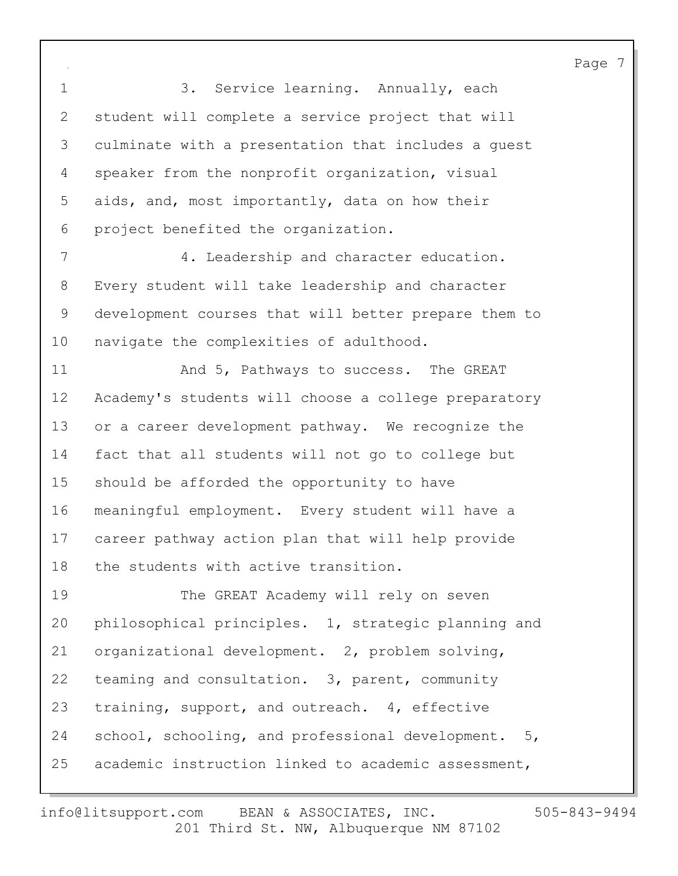1 3. Service learning. Annually, each 2 student will complete a service project that will 3 culminate with a presentation that includes a guest 4 speaker from the nonprofit organization, visual 5 aids, and, most importantly, data on how their 6 project benefited the organization. 7 4. Leadership and character education. 8 Every student will take leadership and character 9 development courses that will better prepare them to 10 navigate the complexities of adulthood. 11 **And 5, Pathways to success.** The GREAT 12 Academy's students will choose a college preparatory 13 or a career development pathway. We recognize the 14 fact that all students will not go to college but 15 should be afforded the opportunity to have 16 meaningful employment. Every student will have a 17 career pathway action plan that will help provide 18 the students with active transition. 19 The GREAT Academy will rely on seven 20 philosophical principles. 1, strategic planning and 21 organizational development. 2, problem solving, 22 teaming and consultation. 3, parent, community 23 training, support, and outreach. 4, effective 24 school, schooling, and professional development. 5, 25 academic instruction linked to academic assessment,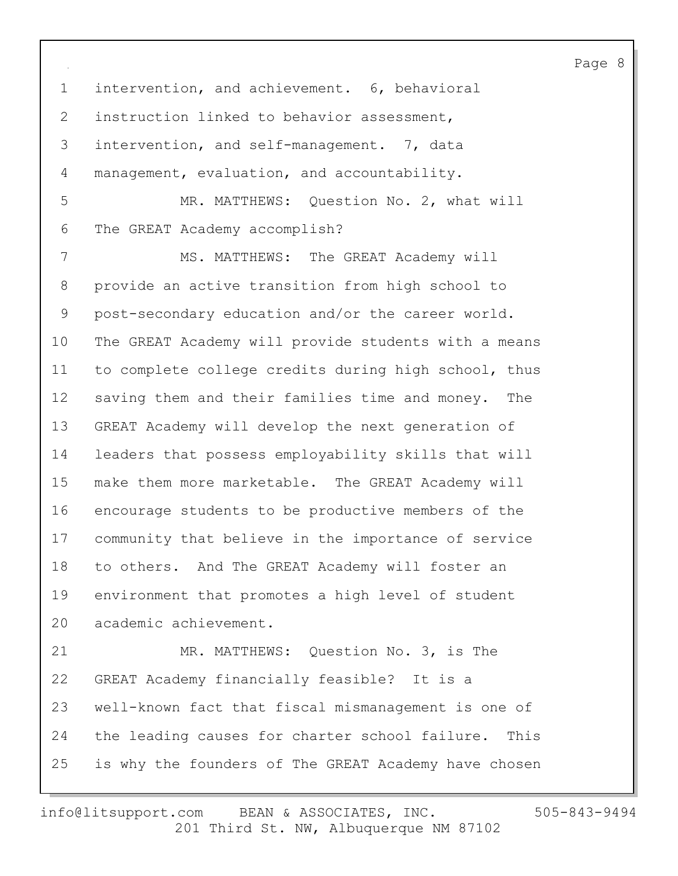1 intervention, and achievement. 6, behavioral 2 instruction linked to behavior assessment, 3 intervention, and self-management. 7, data 4 management, evaluation, and accountability. 5 MR. MATTHEWS: Question No. 2, what will 6 The GREAT Academy accomplish? 7 MS. MATTHEWS: The GREAT Academy will 8 provide an active transition from high school to 9 post-secondary education and/or the career world. 10 The GREAT Academy will provide students with a means 11 to complete college credits during high school, thus 12 saving them and their families time and money. The 13 GREAT Academy will develop the next generation of 14 leaders that possess employability skills that will 15 make them more marketable. The GREAT Academy will 16 encourage students to be productive members of the 17 community that believe in the importance of service 18 to others. And The GREAT Academy will foster an 19 environment that promotes a high level of student 20 academic achievement. 21 MR. MATTHEWS: Question No. 3, is The 22 GREAT Academy financially feasible? It is a 23 well-known fact that fiscal mismanagement is one of 24 the leading causes for charter school failure. This 25 is why the founders of The GREAT Academy have chosen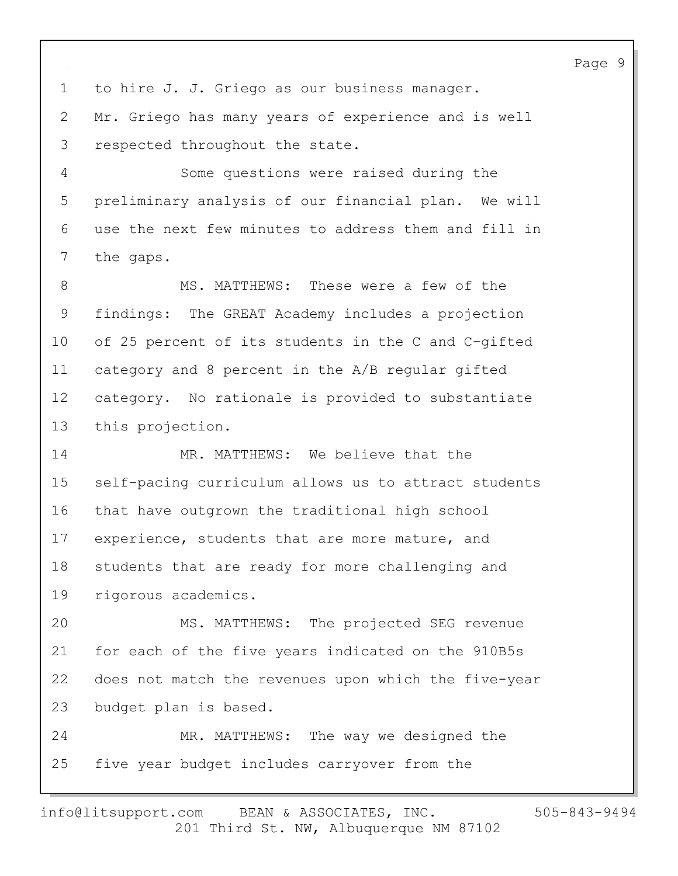1 to hire J. J. Griego as our business manager. 2 Mr. Griego has many years of experience and is well 3 respected throughout the state. 4 Some questions were raised during the 5 preliminary analysis of our financial plan. We will 6 use the next few minutes to address them and fill in 7 the gaps. 8 MS. MATTHEWS: These were a few of the 9 findings: The GREAT Academy includes a projection 10 of 25 percent of its students in the C and C-gifted 11 category and 8 percent in the A/B regular gifted 12 category. No rationale is provided to substantiate 13 this projection. 14 MR. MATTHEWS: We believe that the 15 self-pacing curriculum allows us to attract students 16 that have outgrown the traditional high school 17 experience, students that are more mature, and 18 students that are ready for more challenging and 19 rigorous academics. 20 MS. MATTHEWS: The projected SEG revenue 21 for each of the five years indicated on the 910B5s 22 does not match the revenues upon which the five-year 23 budget plan is based. 24 MR. MATTHEWS: The way we designed the 25 five year budget includes carryover from the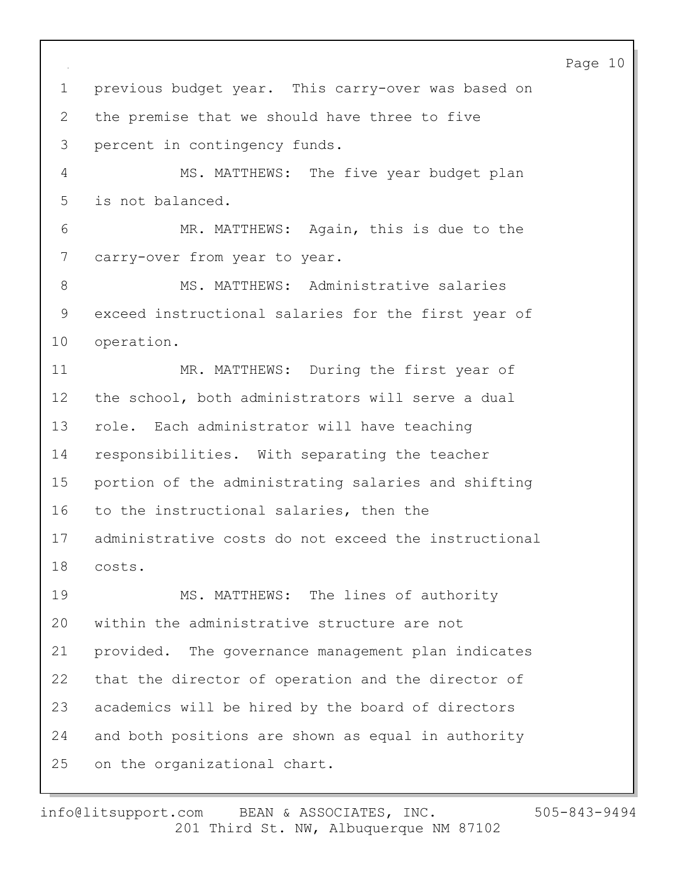Page 10 1 previous budget year. This carry-over was based on 2 the premise that we should have three to five 3 percent in contingency funds. 4 MS. MATTHEWS: The five year budget plan 5 is not balanced. 6 MR. MATTHEWS: Again, this is due to the 7 carry-over from year to year. 8 MS. MATTHEWS: Administrative salaries 9 exceed instructional salaries for the first year of 10 operation. 11 MR. MATTHEWS: During the first year of 12 the school, both administrators will serve a dual 13 role. Each administrator will have teaching 14 responsibilities. With separating the teacher 15 portion of the administrating salaries and shifting 16 to the instructional salaries, then the 17 administrative costs do not exceed the instructional 18 costs. 19 MS. MATTHEWS: The lines of authority 20 within the administrative structure are not 21 provided. The governance management plan indicates 22 that the director of operation and the director of 23 academics will be hired by the board of directors 24 and both positions are shown as equal in authority 25 on the organizational chart.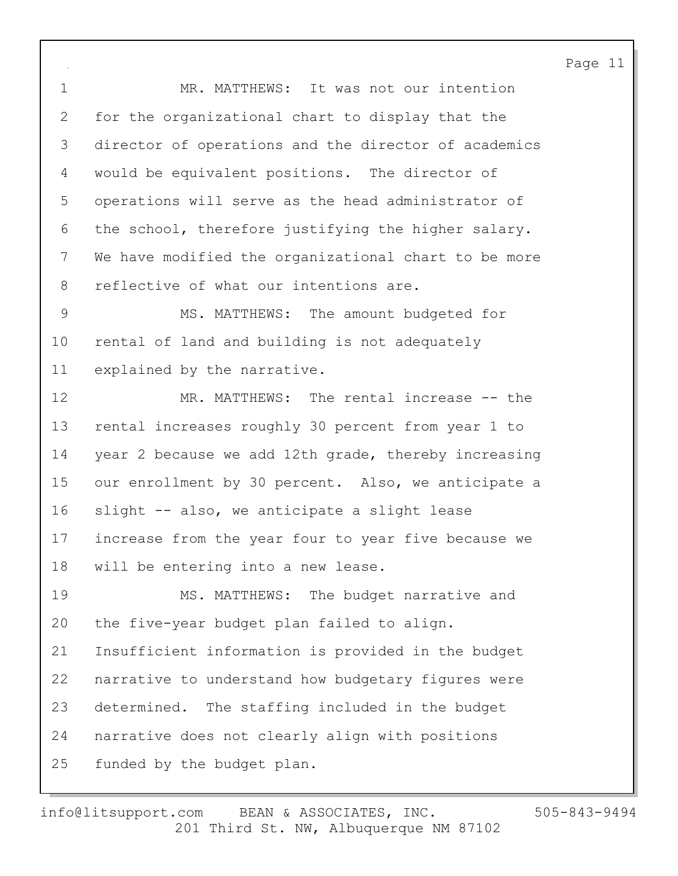1 MR. MATTHEWS: It was not our intention 2 for the organizational chart to display that the 3 director of operations and the director of academics 4 would be equivalent positions. The director of 5 operations will serve as the head administrator of 6 the school, therefore justifying the higher salary. 7 We have modified the organizational chart to be more 8 reflective of what our intentions are.

9 MS. MATTHEWS: The amount budgeted for 10 rental of land and building is not adequately 11 explained by the narrative.

12 MR. MATTHEWS: The rental increase -- the 13 rental increases roughly 30 percent from year 1 to 14 year 2 because we add 12th grade, thereby increasing 15 our enrollment by 30 percent. Also, we anticipate a 16 slight -- also, we anticipate a slight lease 17 increase from the year four to year five because we 18 will be entering into a new lease. 19 MS. MATTHEWS: The budget narrative and

20 the five-year budget plan failed to align. 21 Insufficient information is provided in the budget 22 narrative to understand how budgetary figures were 23 determined. The staffing included in the budget 24 narrative does not clearly align with positions 25 funded by the budget plan.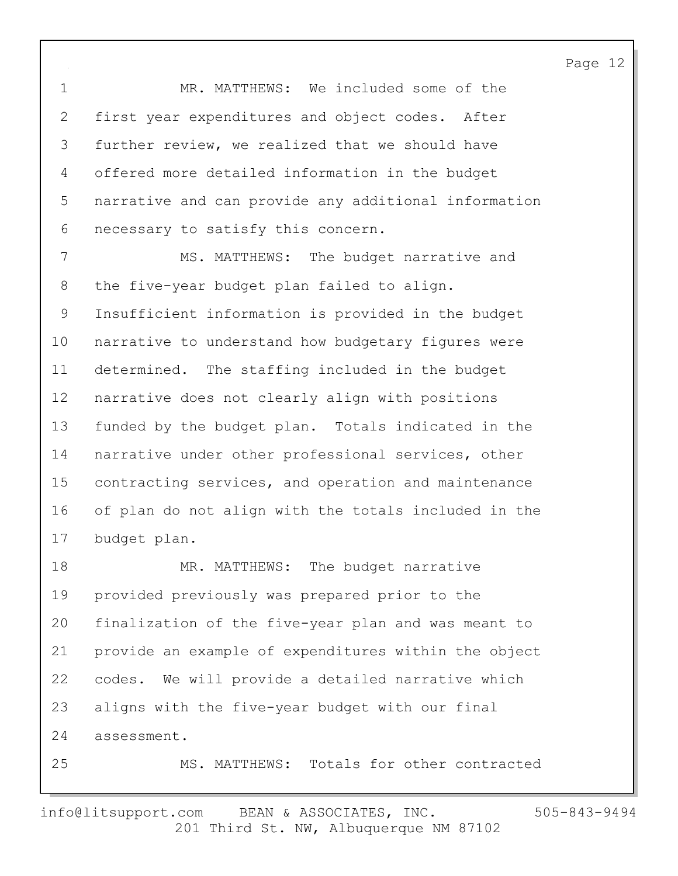1 MR. MATTHEWS: We included some of the 2 first year expenditures and object codes. After 3 further review, we realized that we should have 4 offered more detailed information in the budget 5 narrative and can provide any additional information 6 necessary to satisfy this concern.

7 MS. MATTHEWS: The budget narrative and 8 the five-year budget plan failed to align. 9 Insufficient information is provided in the budget 10 narrative to understand how budgetary figures were 11 determined. The staffing included in the budget 12 narrative does not clearly align with positions 13 funded by the budget plan. Totals indicated in the 14 narrative under other professional services, other 15 contracting services, and operation and maintenance 16 of plan do not align with the totals included in the 17 budget plan.

18 MR. MATTHEWS: The budget narrative 19 provided previously was prepared prior to the 20 finalization of the five-year plan and was meant to 21 provide an example of expenditures within the object 22 codes. We will provide a detailed narrative which 23 aligns with the five-year budget with our final 24 assessment.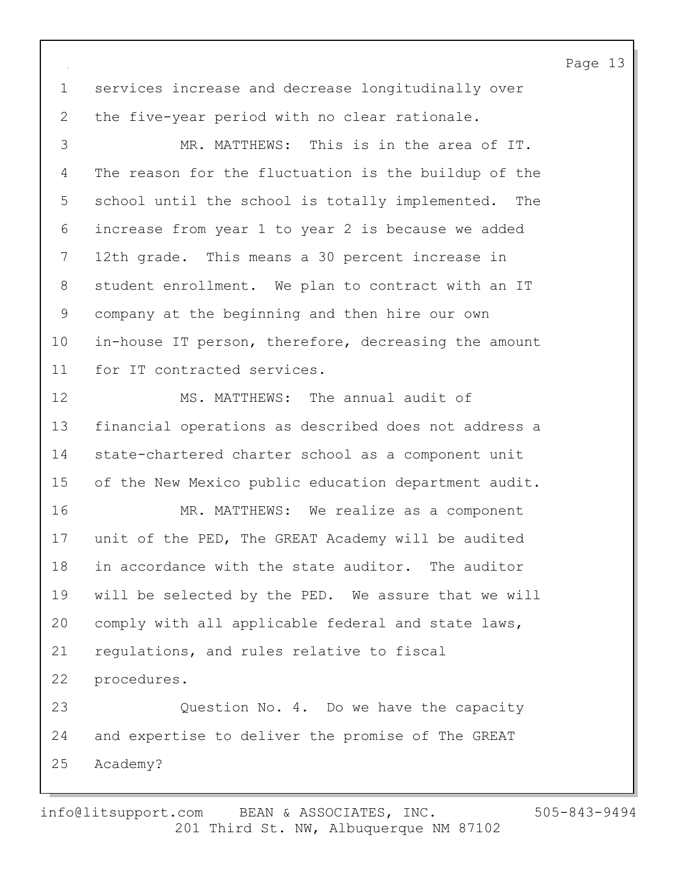1 services increase and decrease longitudinally over 2 the five-year period with no clear rationale.

3 MR. MATTHEWS: This is in the area of IT. 4 The reason for the fluctuation is the buildup of the 5 school until the school is totally implemented. The 6 increase from year 1 to year 2 is because we added 7 12th grade. This means a 30 percent increase in 8 student enrollment. We plan to contract with an IT 9 company at the beginning and then hire our own 10 in-house IT person, therefore, decreasing the amount 11 for IT contracted services.

12 MS. MATTHEWS: The annual audit of 13 financial operations as described does not address a 14 state-chartered charter school as a component unit 15 of the New Mexico public education department audit. 16 MR. MATTHEWS: We realize as a component 17 unit of the PED, The GREAT Academy will be audited 18 in accordance with the state auditor. The auditor 19 will be selected by the PED. We assure that we will 20 comply with all applicable federal and state laws, 21 regulations, and rules relative to fiscal 22 procedures. 23 Question No. 4. Do we have the capacity 24 and expertise to deliver the promise of The GREAT

25 Academy?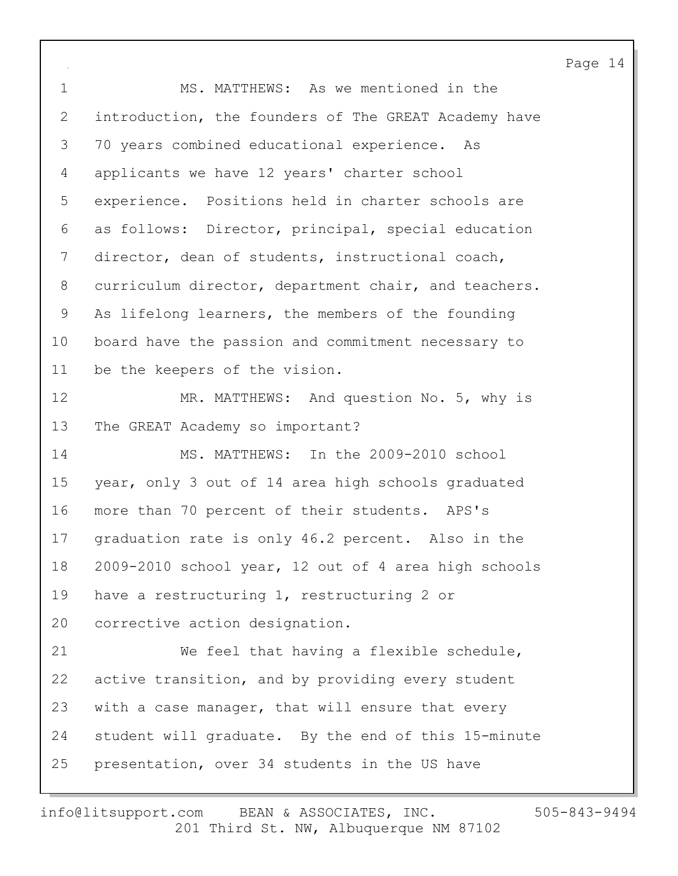1 MS. MATTHEWS: As we mentioned in the 2 introduction, the founders of The GREAT Academy have 3 70 years combined educational experience. As 4 applicants we have 12 years' charter school 5 experience. Positions held in charter schools are 6 as follows: Director, principal, special education 7 director, dean of students, instructional coach, 8 curriculum director, department chair, and teachers. 9 As lifelong learners, the members of the founding 10 board have the passion and commitment necessary to 11 be the keepers of the vision. 12 MR. MATTHEWS: And question No. 5, why is 13 The GREAT Academy so important? 14 MS. MATTHEWS: In the 2009-2010 school 15 year, only 3 out of 14 area high schools graduated 16 more than 70 percent of their students. APS's 17 graduation rate is only 46.2 percent. Also in the 18 2009-2010 school year, 12 out of 4 area high schools 19 have a restructuring 1, restructuring 2 or 20 corrective action designation. 21 We feel that having a flexible schedule, 22 active transition, and by providing every student 23 with a case manager, that will ensure that every 24 student will graduate. By the end of this 15-minute 25 presentation, over 34 students in the US have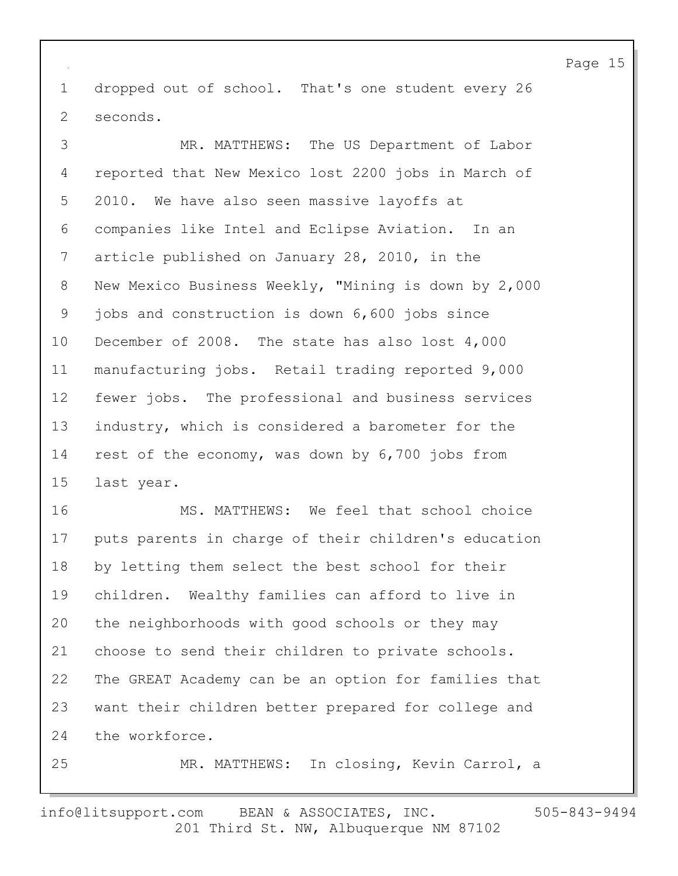1 dropped out of school. That's one student every 26 2 seconds.

3 MR. MATTHEWS: The US Department of Labor 4 reported that New Mexico lost 2200 jobs in March of 5 2010. We have also seen massive layoffs at 6 companies like Intel and Eclipse Aviation. In an 7 article published on January 28, 2010, in the 8 New Mexico Business Weekly, "Mining is down by 2,000 9 jobs and construction is down 6,600 jobs since 10 December of 2008. The state has also lost 4,000 11 manufacturing jobs. Retail trading reported 9,000 12 fewer jobs. The professional and business services 13 industry, which is considered a barometer for the 14 rest of the economy, was down by 6,700 jobs from 15 last year.

16 MS. MATTHEWS: We feel that school choice 17 puts parents in charge of their children's education 18 by letting them select the best school for their 19 children. Wealthy families can afford to live in 20 the neighborhoods with good schools or they may 21 choose to send their children to private schools. 22 The GREAT Academy can be an option for families that 23 want their children better prepared for college and 24 the workforce.

25 MR. MATTHEWS: In closing, Kevin Carrol, a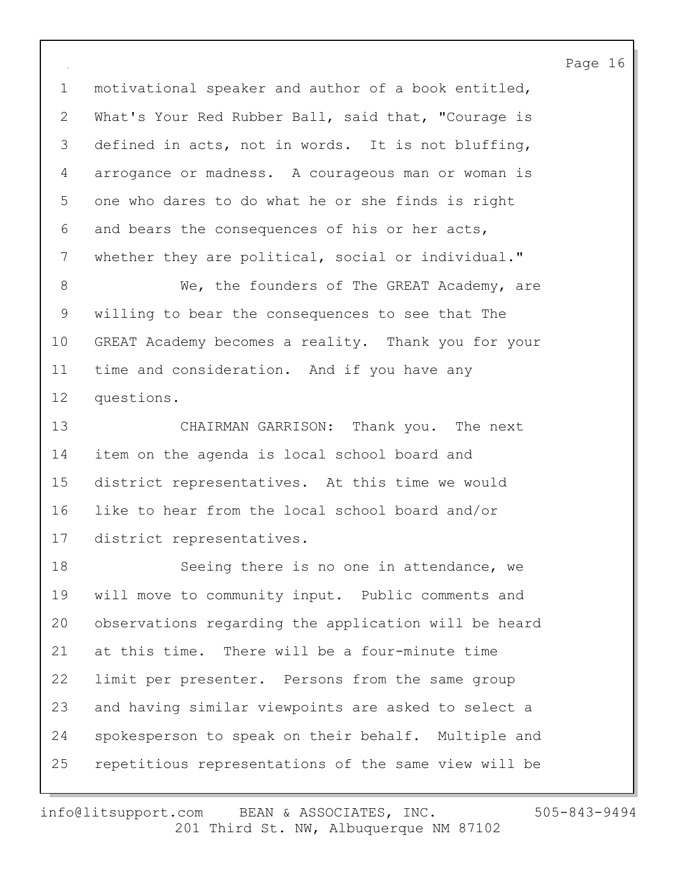1 motivational speaker and author of a book entitled, 2 What's Your Red Rubber Ball, said that, "Courage is 3 defined in acts, not in words. It is not bluffing, 4 arrogance or madness. A courageous man or woman is 5 one who dares to do what he or she finds is right 6 and bears the consequences of his or her acts, 7 whether they are political, social or individual."

8 We, the founders of The GREAT Academy, are 9 willing to bear the consequences to see that The 10 GREAT Academy becomes a reality. Thank you for your 11 time and consideration. And if you have any 12 questions.

13 CHAIRMAN GARRISON: Thank you. The next 14 item on the agenda is local school board and 15 district representatives. At this time we would 16 like to hear from the local school board and/or 17 district representatives.

18 Seeing there is no one in attendance, we 19 will move to community input. Public comments and 20 observations regarding the application will be heard 21 at this time. There will be a four-minute time 22 limit per presenter. Persons from the same group 23 and having similar viewpoints are asked to select a 24 spokesperson to speak on their behalf. Multiple and 25 repetitious representations of the same view will be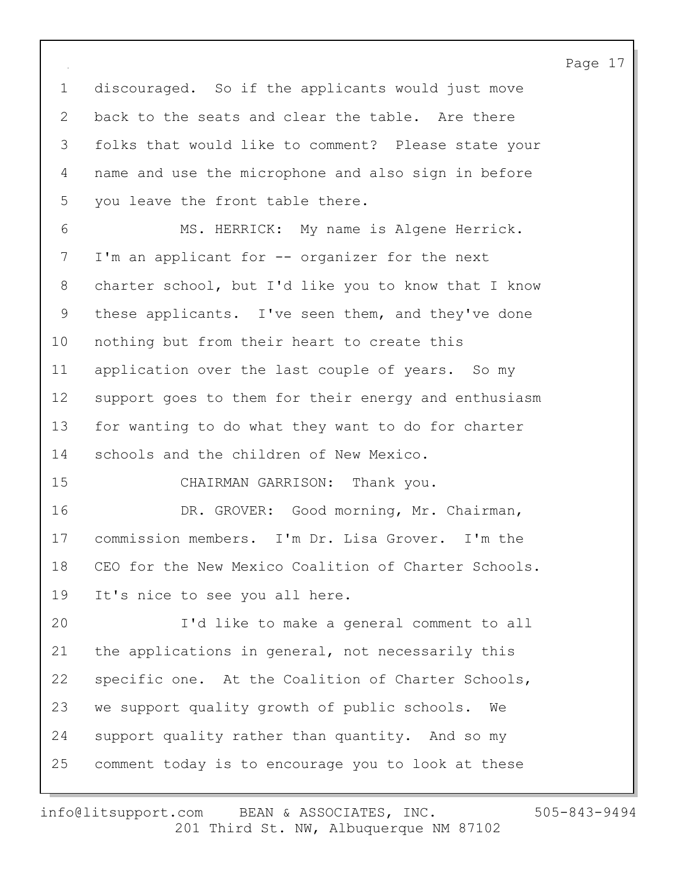1 discouraged. So if the applicants would just move 2 back to the seats and clear the table. Are there 3 folks that would like to comment? Please state your 4 name and use the microphone and also sign in before 5 you leave the front table there. 6 MS. HERRICK: My name is Algene Herrick. 7 I'm an applicant for -- organizer for the next 8 charter school, but I'd like you to know that I know 9 these applicants. I've seen them, and they've done 10 nothing but from their heart to create this 11 application over the last couple of years. So my 12 support goes to them for their energy and enthusiasm 13 for wanting to do what they want to do for charter 14 schools and the children of New Mexico. 15 CHAIRMAN GARRISON: Thank you. 16 DR. GROVER: Good morning, Mr. Chairman, 17 commission members. I'm Dr. Lisa Grover. I'm the 18 CEO for the New Mexico Coalition of Charter Schools. 19 It's nice to see you all here. 20 I'd like to make a general comment to all 21 the applications in general, not necessarily this 22 specific one. At the Coalition of Charter Schools, 23 we support quality growth of public schools. We 24 support quality rather than quantity. And so my 25 comment today is to encourage you to look at these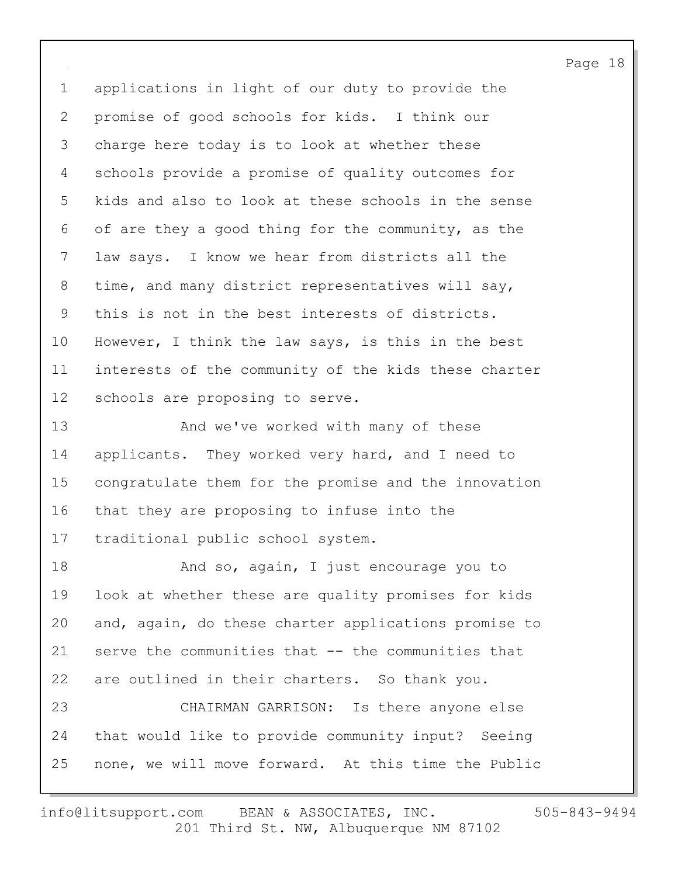1 applications in light of our duty to provide the 2 promise of good schools for kids. I think our 3 charge here today is to look at whether these 4 schools provide a promise of quality outcomes for 5 kids and also to look at these schools in the sense 6 of are they a good thing for the community, as the 7 law says. I know we hear from districts all the 8 time, and many district representatives will say, 9 this is not in the best interests of districts. 10 However, I think the law says, is this in the best 11 interests of the community of the kids these charter 12 schools are proposing to serve.

13 And we've worked with many of these 14 applicants. They worked very hard, and I need to 15 congratulate them for the promise and the innovation 16 that they are proposing to infuse into the 17 traditional public school system.

18 And so, again, I just encourage you to 19 look at whether these are quality promises for kids 20 and, again, do these charter applications promise to 21 serve the communities that -- the communities that 22 are outlined in their charters. So thank you.

23 CHAIRMAN GARRISON: Is there anyone else 24 that would like to provide community input? Seeing 25 none, we will move forward. At this time the Public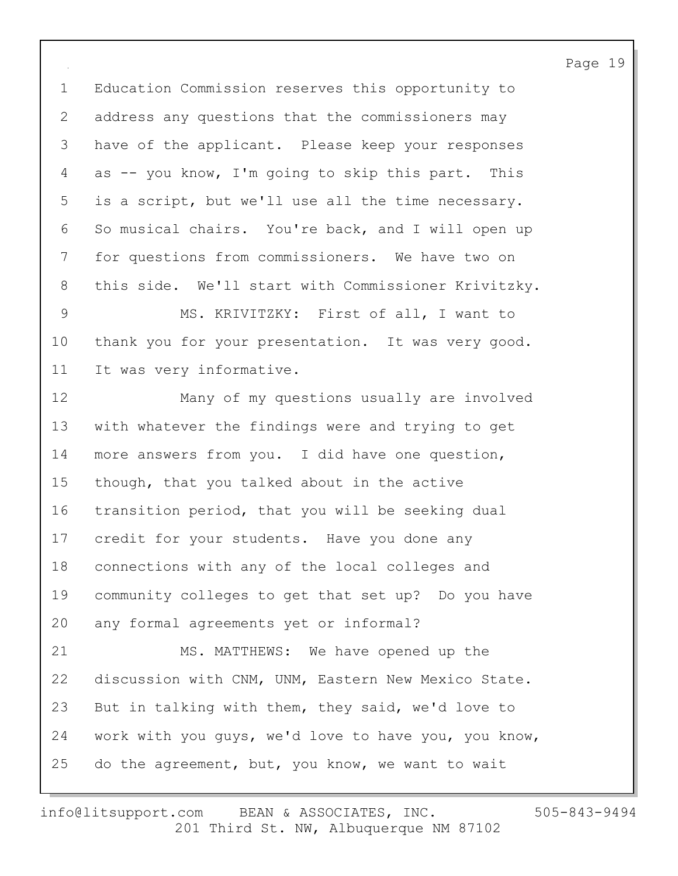1 Education Commission reserves this opportunity to 2 address any questions that the commissioners may 3 have of the applicant. Please keep your responses 4 as -- you know, I'm going to skip this part. This 5 is a script, but we'll use all the time necessary. 6 So musical chairs. You're back, and I will open up 7 for questions from commissioners. We have two on 8 this side. We'll start with Commissioner Krivitzky.

9 MS. KRIVITZKY: First of all, I want to 10 thank you for your presentation. It was very good. 11 It was very informative.

12 Many of my questions usually are involved 13 with whatever the findings were and trying to get 14 more answers from you. I did have one question, 15 though, that you talked about in the active 16 transition period, that you will be seeking dual 17 credit for your students. Have you done any 18 connections with any of the local colleges and 19 community colleges to get that set up? Do you have 20 any formal agreements yet or informal? 21 MS. MATTHEWS: We have opened up the 22 discussion with CNM, UNM, Eastern New Mexico State. 23 But in talking with them, they said, we'd love to

24 work with you guys, we'd love to have you, you know,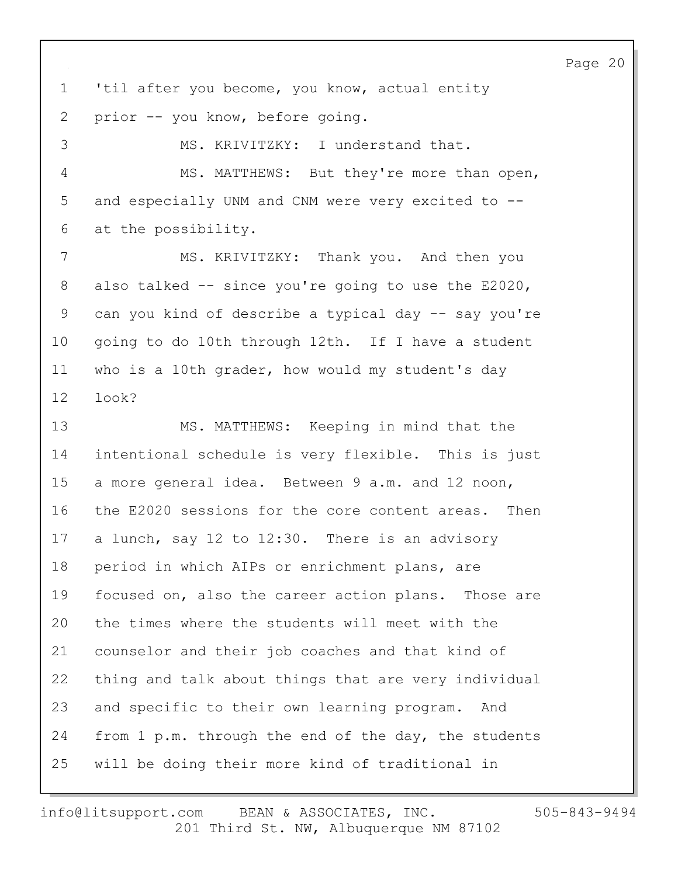1 'til after you become, you know, actual entity 2 prior -- you know, before going.

3 MS. KRIVITZKY: I understand that. 4 MS. MATTHEWS: But they're more than open, 5 and especially UNM and CNM were very excited to -- 6 at the possibility.

7 MS. KRIVITZKY: Thank you. And then you 8 also talked -- since you're going to use the E2020, 9 can you kind of describe a typical day -- say you're 10 going to do 10th through 12th. If I have a student 11 who is a 10th grader, how would my student's day 12 look?

13 MS. MATTHEWS: Keeping in mind that the 14 intentional schedule is very flexible. This is just 15 a more general idea. Between 9 a.m. and 12 noon, 16 the E2020 sessions for the core content areas. Then 17 a lunch, say 12 to 12:30. There is an advisory 18 period in which AIPs or enrichment plans, are 19 focused on, also the career action plans. Those are 20 the times where the students will meet with the 21 counselor and their job coaches and that kind of 22 thing and talk about things that are very individual 23 and specific to their own learning program. And 24 from 1 p.m. through the end of the day, the students 25 will be doing their more kind of traditional in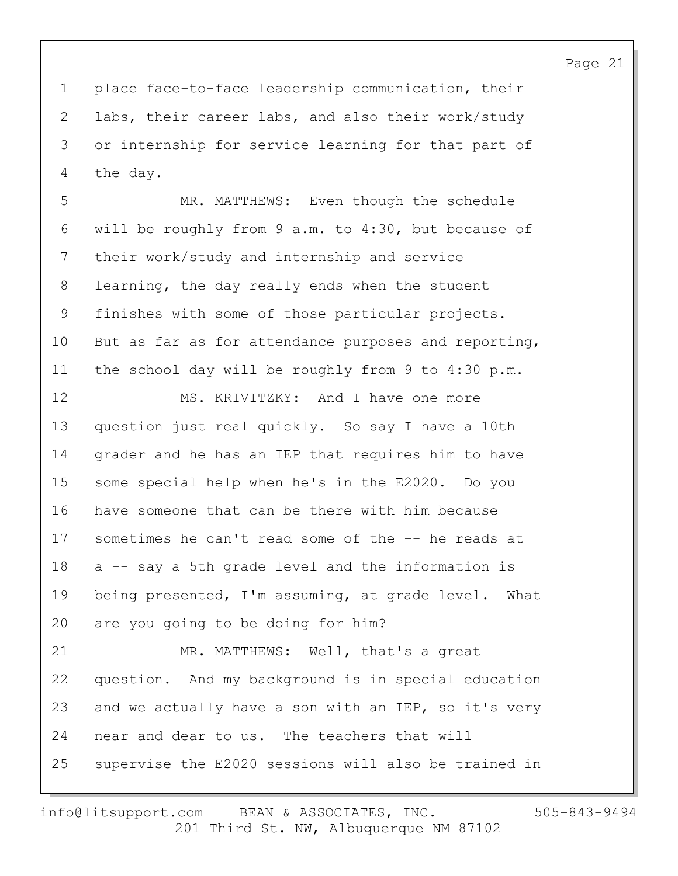1 place face-to-face leadership communication, their 2 labs, their career labs, and also their work/study 3 or internship for service learning for that part of 4 the day.

5 MR. MATTHEWS: Even though the schedule 6 will be roughly from 9 a.m. to 4:30, but because of 7 their work/study and internship and service 8 learning, the day really ends when the student 9 finishes with some of those particular projects. 10 But as far as for attendance purposes and reporting, 11 the school day will be roughly from 9 to 4:30 p.m. 12 MS. KRIVITZKY: And I have one more

13 question just real quickly. So say I have a 10th 14 grader and he has an IEP that requires him to have 15 some special help when he's in the E2020. Do you 16 have someone that can be there with him because 17 sometimes he can't read some of the -- he reads at 18 a -- say a 5th grade level and the information is 19 being presented, I'm assuming, at grade level. What 20 are you going to be doing for him?

21 MR. MATTHEWS: Well, that's a great 22 question. And my background is in special education 23 and we actually have a son with an IEP, so it's very 24 near and dear to us. The teachers that will 25 supervise the E2020 sessions will also be trained in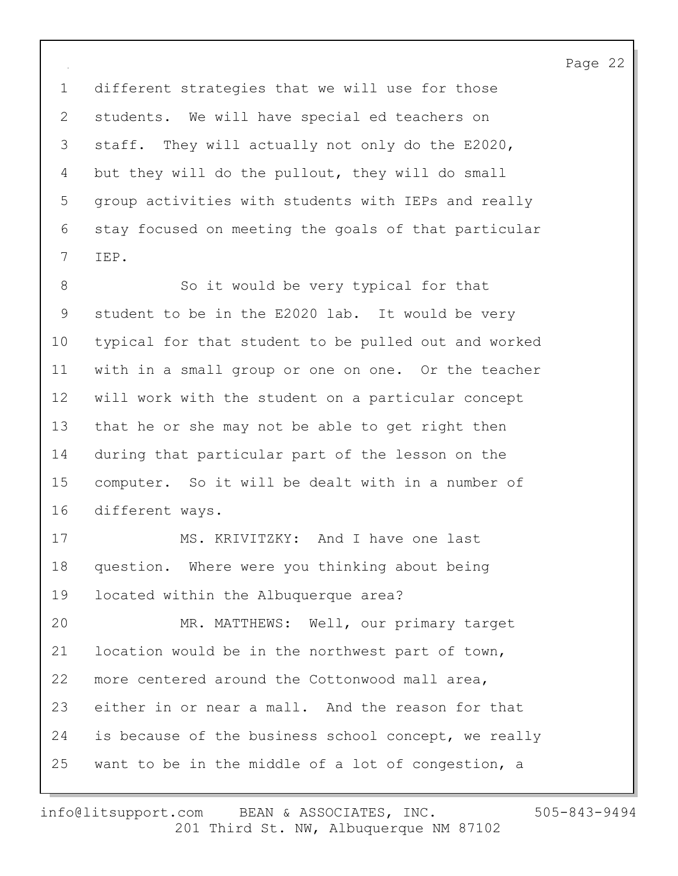1 different strategies that we will use for those 2 students. We will have special ed teachers on 3 staff. They will actually not only do the E2020, 4 but they will do the pullout, they will do small 5 group activities with students with IEPs and really 6 stay focused on meeting the goals of that particular 7 IEP.

8 So it would be very typical for that 9 student to be in the E2020 lab. It would be very 10 typical for that student to be pulled out and worked 11 with in a small group or one on one. Or the teacher 12 will work with the student on a particular concept 13 that he or she may not be able to get right then 14 during that particular part of the lesson on the 15 computer. So it will be dealt with in a number of 16 different ways.

17 MS. KRIVITZKY: And I have one last 18 question. Where were you thinking about being 19 located within the Albuquerque area?

20 MR. MATTHEWS: Well, our primary target 21 location would be in the northwest part of town, 22 more centered around the Cottonwood mall area, 23 either in or near a mall. And the reason for that 24 is because of the business school concept, we really 25 want to be in the middle of a lot of congestion, a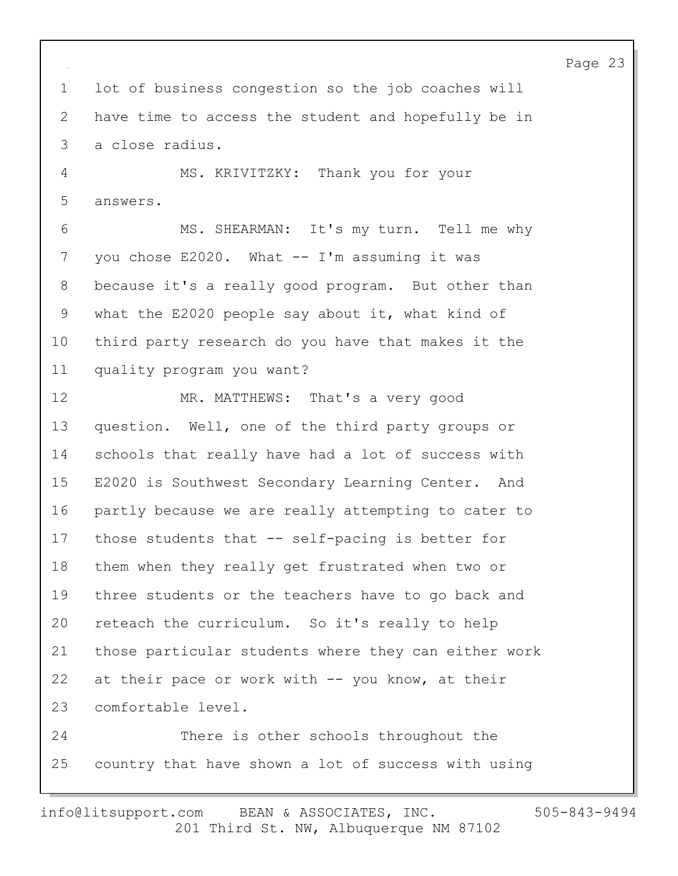Page 23 1 lot of business congestion so the job coaches will 2 have time to access the student and hopefully be in 3 a close radius. 4 MS. KRIVITZKY: Thank you for your 5 answers. 6 MS. SHEARMAN: It's my turn. Tell me why 7 you chose E2020. What -- I'm assuming it was 8 because it's a really good program. But other than 9 what the E2020 people say about it, what kind of 10 third party research do you have that makes it the 11 quality program you want? 12 MR. MATTHEWS: That's a very good 13 question. Well, one of the third party groups or 14 schools that really have had a lot of success with 15 E2020 is Southwest Secondary Learning Center. And 16 partly because we are really attempting to cater to 17 those students that -- self-pacing is better for 18 them when they really get frustrated when two or 19 three students or the teachers have to go back and 20 reteach the curriculum. So it's really to help 21 those particular students where they can either work 22 at their pace or work with -- you know, at their 23 comfortable level. 24 There is other schools throughout the 25 country that have shown a lot of success with using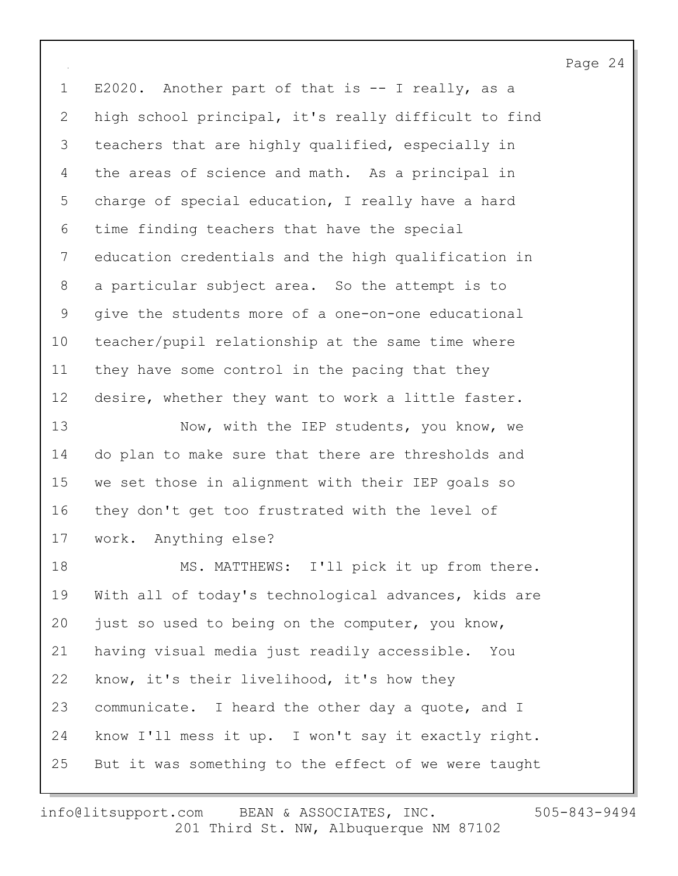1 E2020. Another part of that is -- I really, as a 2 high school principal, it's really difficult to find 3 teachers that are highly qualified, especially in 4 the areas of science and math. As a principal in 5 charge of special education, I really have a hard 6 time finding teachers that have the special 7 education credentials and the high qualification in 8 a particular subject area. So the attempt is to 9 give the students more of a one-on-one educational 10 teacher/pupil relationship at the same time where 11 they have some control in the pacing that they 12 desire, whether they want to work a little faster. 13 Now, with the IEP students, you know, we 14 do plan to make sure that there are thresholds and 15 we set those in alignment with their IEP goals so 16 they don't get too frustrated with the level of 17 work. Anything else? 18 MS. MATTHEWS: I'll pick it up from there. 19 With all of today's technological advances, kids are 20 just so used to being on the computer, you know, 21 having visual media just readily accessible. You 22 know, it's their livelihood, it's how they 23 communicate. I heard the other day a quote, and I 24 know I'll mess it up. I won't say it exactly right. 25 But it was something to the effect of we were taught

201 Third St. NW, Albuquerque NM 87102 info@litsupport.com BEAN & ASSOCIATES, INC. 505-843-9494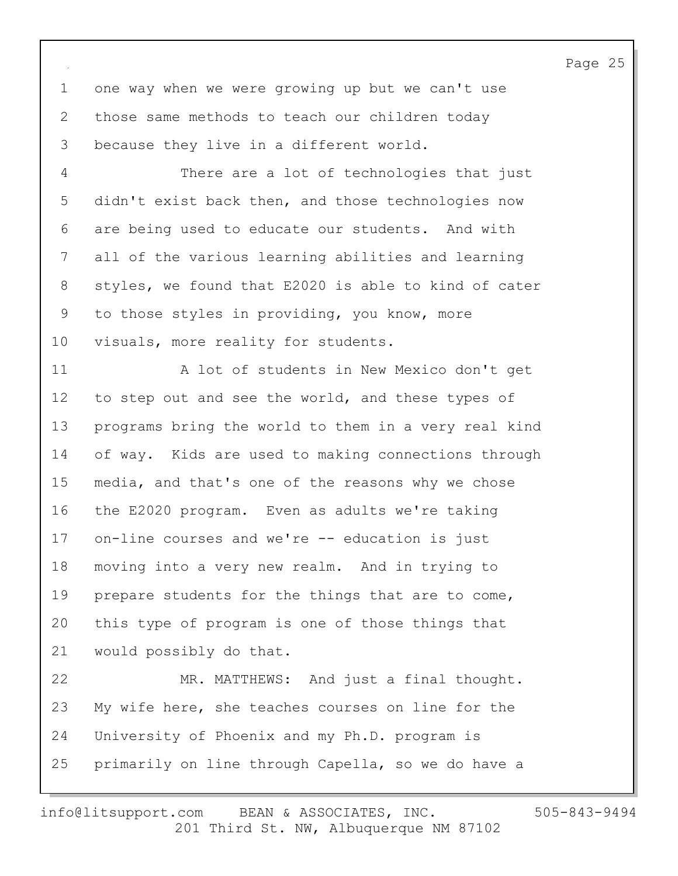1 one way when we were growing up but we can't use 2 those same methods to teach our children today 3 because they live in a different world.

4 There are a lot of technologies that just 5 didn't exist back then, and those technologies now 6 are being used to educate our students. And with 7 all of the various learning abilities and learning 8 styles, we found that E2020 is able to kind of cater 9 to those styles in providing, you know, more 10 visuals, more reality for students.

11 A lot of students in New Mexico don't get 12 to step out and see the world, and these types of 13 programs bring the world to them in a very real kind 14 of way. Kids are used to making connections through 15 media, and that's one of the reasons why we chose 16 the E2020 program. Even as adults we're taking 17 on-line courses and we're -- education is just 18 moving into a very new realm. And in trying to 19 prepare students for the things that are to come, 20 this type of program is one of those things that 21 would possibly do that. 22 MR. MATTHEWS: And just a final thought. 23 My wife here, she teaches courses on line for the

25 primarily on line through Capella, so we do have a

24 University of Phoenix and my Ph.D. program is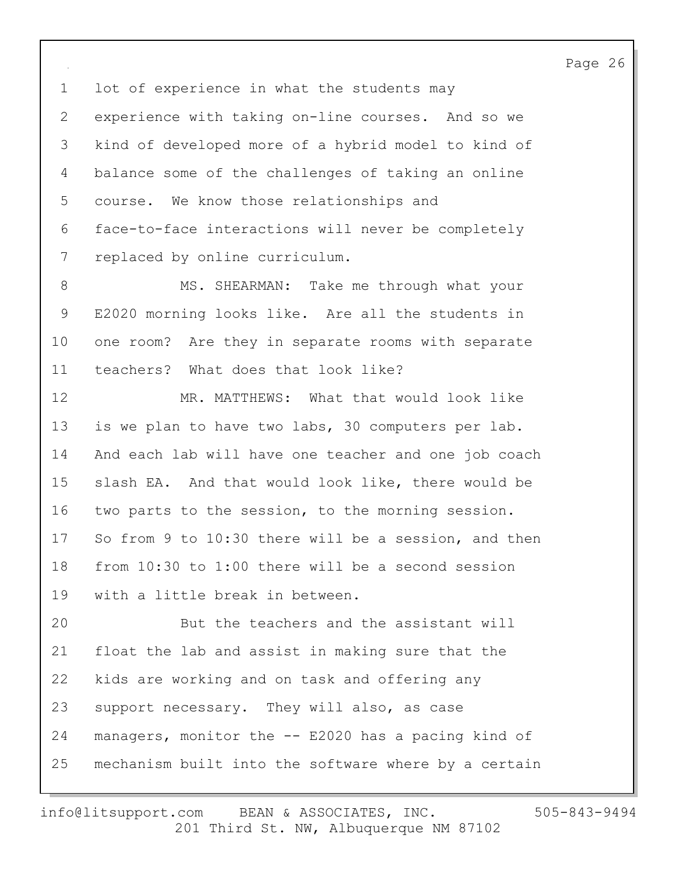1 lot of experience in what the students may 2 experience with taking on-line courses. And so we 3 kind of developed more of a hybrid model to kind of 4 balance some of the challenges of taking an online 5 course. We know those relationships and 6 face-to-face interactions will never be completely 7 replaced by online curriculum.

8 MS. SHEARMAN: Take me through what your 9 E2020 morning looks like. Are all the students in 10 one room? Are they in separate rooms with separate 11 teachers? What does that look like?

12 MR. MATTHEWS: What that would look like 13 is we plan to have two labs, 30 computers per lab. 14 And each lab will have one teacher and one job coach 15 slash EA. And that would look like, there would be 16 two parts to the session, to the morning session. 17 So from 9 to 10:30 there will be a session, and then 18 from 10:30 to 1:00 there will be a second session 19 with a little break in between.

20 But the teachers and the assistant will 21 float the lab and assist in making sure that the 22 kids are working and on task and offering any 23 support necessary. They will also, as case 24 managers, monitor the -- E2020 has a pacing kind of 25 mechanism built into the software where by a certain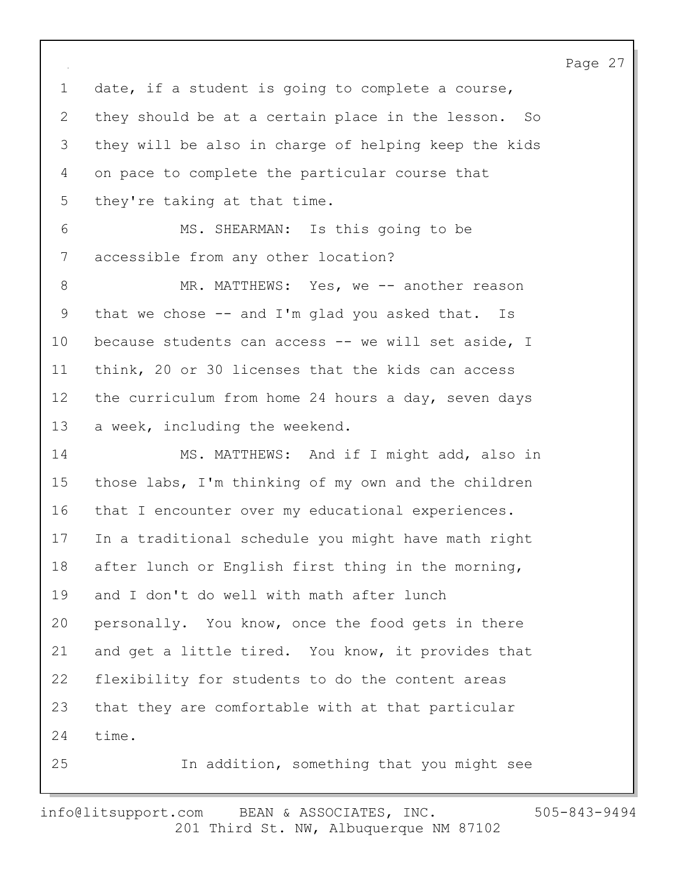1 date, if a student is going to complete a course, 2 they should be at a certain place in the lesson. So 3 they will be also in charge of helping keep the kids 4 on pace to complete the particular course that 5 they're taking at that time. 6 MS. SHEARMAN: Is this going to be 7 accessible from any other location? 8 MR. MATTHEWS: Yes, we -- another reason 9 that we chose -- and I'm glad you asked that. Is 10 because students can access -- we will set aside, I

11 think, 20 or 30 licenses that the kids can access 12 the curriculum from home 24 hours a day, seven days 13 a week, including the weekend.

14 MS. MATTHEWS: And if I might add, also in 15 those labs, I'm thinking of my own and the children 16 that I encounter over my educational experiences. 17 In a traditional schedule you might have math right 18 after lunch or English first thing in the morning, 19 and I don't do well with math after lunch 20 personally. You know, once the food gets in there 21 and get a little tired. You know, it provides that 22 flexibility for students to do the content areas 23 that they are comfortable with at that particular 24 time. 25 In addition, something that you might see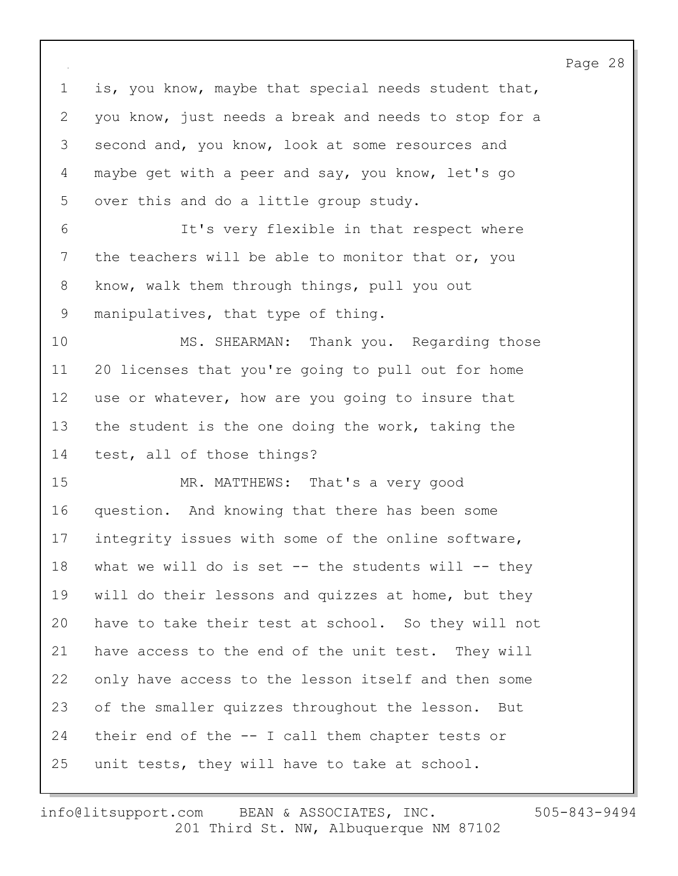1 is, you know, maybe that special needs student that, 2 you know, just needs a break and needs to stop for a 3 second and, you know, look at some resources and 4 maybe get with a peer and say, you know, let's go 5 over this and do a little group study. 6 It's very flexible in that respect where 7 the teachers will be able to monitor that or, you 8 know, walk them through things, pull you out 9 manipulatives, that type of thing. 10 MS. SHEARMAN: Thank you. Regarding those 11 20 licenses that you're going to pull out for home 12 use or whatever, how are you going to insure that

13 the student is the one doing the work, taking the 14 test, all of those things?

15 MR. MATTHEWS: That's a very good 16 question. And knowing that there has been some 17 integrity issues with some of the online software, 18 what we will do is set -- the students will -- they 19 will do their lessons and quizzes at home, but they 20 have to take their test at school. So they will not 21 have access to the end of the unit test. They will 22 only have access to the lesson itself and then some 23 of the smaller quizzes throughout the lesson. But 24 their end of the -- I call them chapter tests or 25 unit tests, they will have to take at school.

201 Third St. NW, Albuquerque NM 87102 info@litsupport.com BEAN & ASSOCIATES, INC. 505-843-9494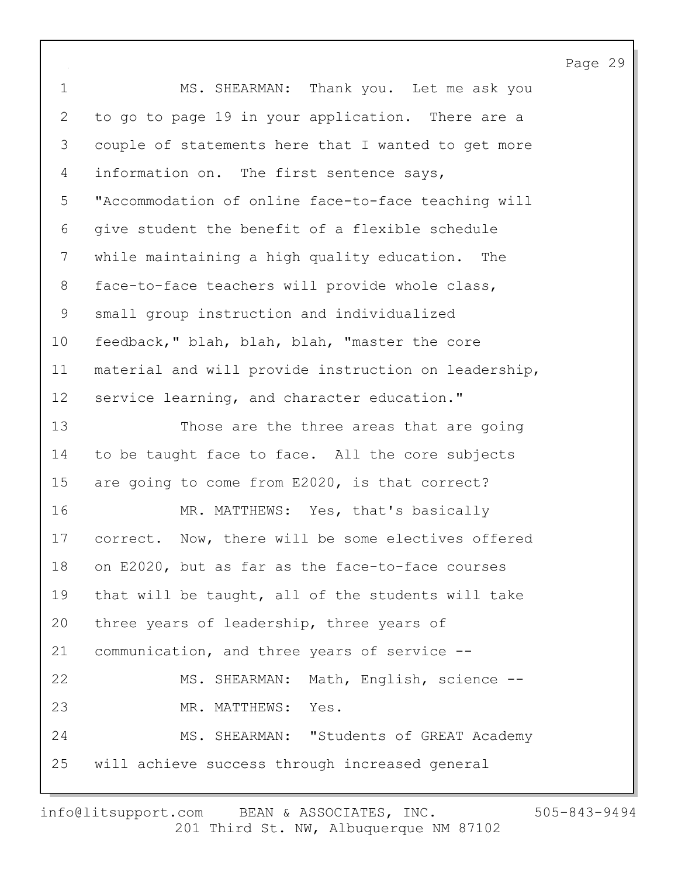1 MS. SHEARMAN: Thank you. Let me ask you 2 to go to page 19 in your application. There are a 3 couple of statements here that I wanted to get more 4 information on. The first sentence says, 5 "Accommodation of online face-to-face teaching will 6 give student the benefit of a flexible schedule 7 while maintaining a high quality education. The 8 face-to-face teachers will provide whole class, 9 small group instruction and individualized 10 feedback," blah, blah, blah, "master the core 11 material and will provide instruction on leadership, 12 service learning, and character education." 13 Those are the three areas that are going 14 to be taught face to face. All the core subjects 15 are going to come from E2020, is that correct? 16 MR. MATTHEWS: Yes, that's basically 17 correct. Now, there will be some electives offered 18 on E2020, but as far as the face-to-face courses 19 that will be taught, all of the students will take 20 three years of leadership, three years of 21 communication, and three years of service -- 22 MS. SHEARMAN: Math, English, science -- 23 MR. MATTHEWS: Yes. 24 MS. SHEARMAN: "Students of GREAT Academy 25 will achieve success through increased general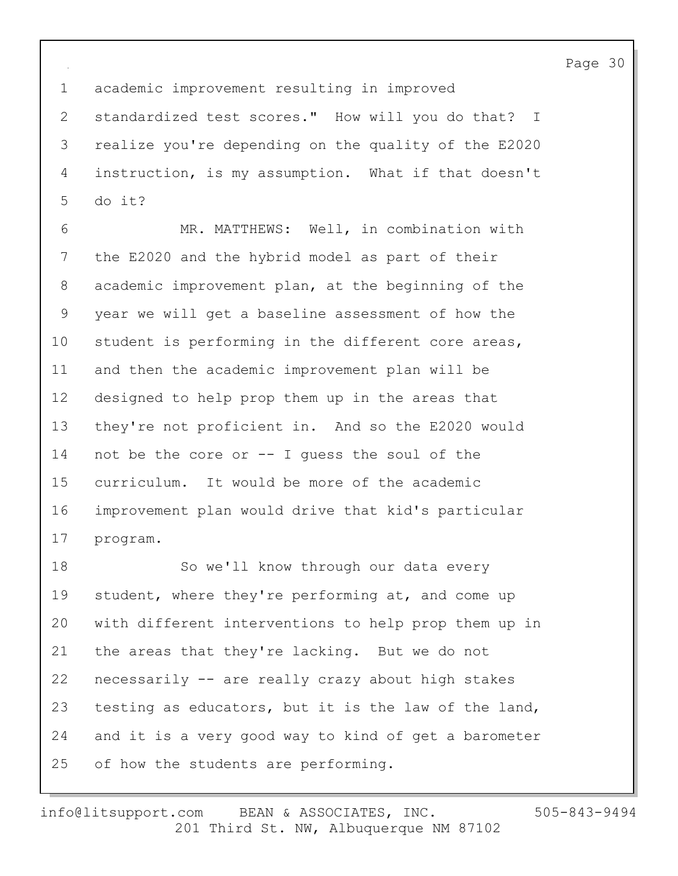1 academic improvement resulting in improved 2 standardized test scores." How will you do that? I 3 realize you're depending on the quality of the E2020 4 instruction, is my assumption. What if that doesn't 5 do it?

6 MR. MATTHEWS: Well, in combination with 7 the E2020 and the hybrid model as part of their 8 academic improvement plan, at the beginning of the 9 year we will get a baseline assessment of how the 10 student is performing in the different core areas, 11 and then the academic improvement plan will be 12 designed to help prop them up in the areas that 13 they're not proficient in. And so the E2020 would 14 not be the core or -- I guess the soul of the 15 curriculum. It would be more of the academic 16 improvement plan would drive that kid's particular 17 program.

18 So we'll know through our data every 19 student, where they're performing at, and come up 20 with different interventions to help prop them up in 21 the areas that they're lacking. But we do not 22 necessarily -- are really crazy about high stakes 23 testing as educators, but it is the law of the land, 24 and it is a very good way to kind of get a barometer 25 of how the students are performing.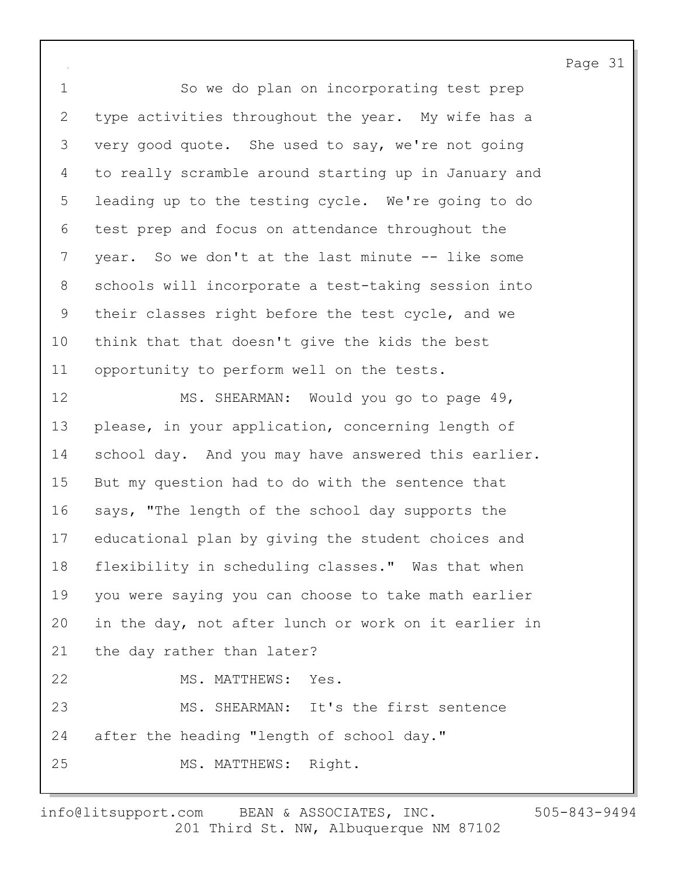1 So we do plan on incorporating test prep 2 type activities throughout the year. My wife has a 3 very good quote. She used to say, we're not going 4 to really scramble around starting up in January and 5 leading up to the testing cycle. We're going to do 6 test prep and focus on attendance throughout the 7 year. So we don't at the last minute -- like some 8 schools will incorporate a test-taking session into 9 their classes right before the test cycle, and we 10 think that that doesn't give the kids the best 11 opportunity to perform well on the tests.

12 MS. SHEARMAN: Would you go to page 49, 13 please, in your application, concerning length of 14 school day. And you may have answered this earlier. 15 But my question had to do with the sentence that 16 says, "The length of the school day supports the 17 educational plan by giving the student choices and 18 flexibility in scheduling classes." Was that when 19 you were saying you can choose to take math earlier 20 in the day, not after lunch or work on it earlier in 21 the day rather than later? 22 MS. MATTHEWS: Yes. 23 MS. SHEARMAN: It's the first sentence 24 after the heading "length of school day." 25 MS. MATTHEWS: Right.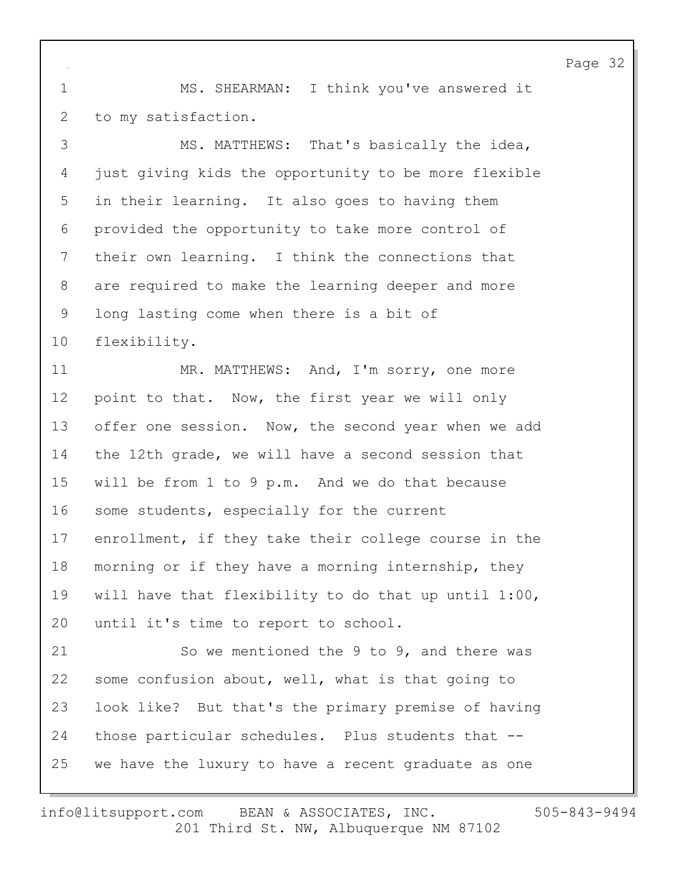1 MS. SHEARMAN: I think you've answered it 2 to my satisfaction.

3 MS. MATTHEWS: That's basically the idea, 4 just giving kids the opportunity to be more flexible 5 in their learning. It also goes to having them 6 provided the opportunity to take more control of 7 their own learning. I think the connections that 8 are required to make the learning deeper and more 9 long lasting come when there is a bit of 10 flexibility.

11 MR. MATTHEWS: And, I'm sorry, one more 12 point to that. Now, the first year we will only 13 offer one session. Now, the second year when we add 14 the 12th grade, we will have a second session that 15 will be from 1 to 9 p.m. And we do that because 16 some students, especially for the current 17 enrollment, if they take their college course in the 18 morning or if they have a morning internship, they 19 will have that flexibility to do that up until 1:00, 20 until it's time to report to school.

21 So we mentioned the 9 to 9, and there was 22 some confusion about, well, what is that going to 23 look like? But that's the primary premise of having 24 those particular schedules. Plus students that -- 25 we have the luxury to have a recent graduate as one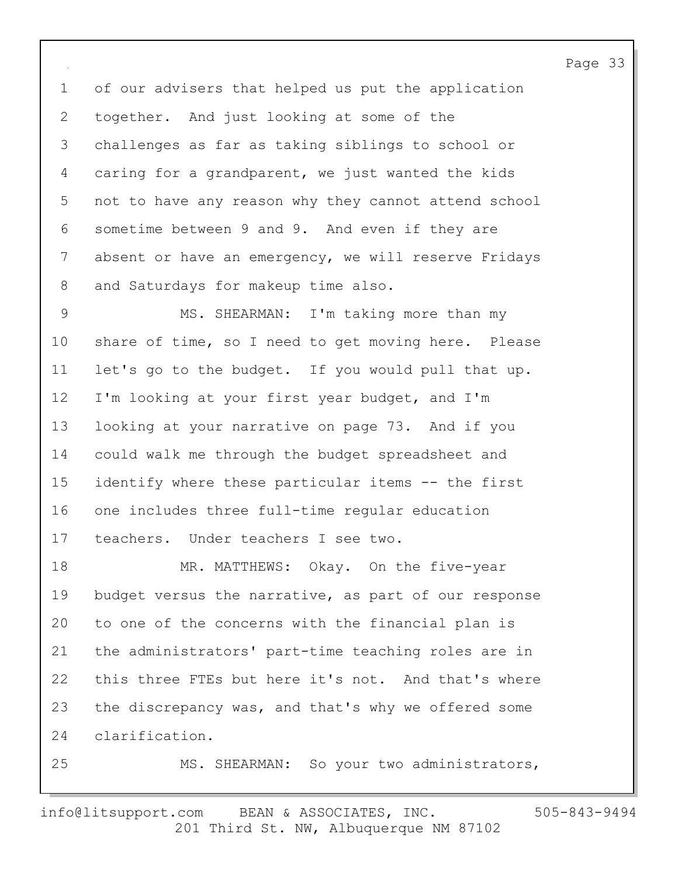1 of our advisers that helped us put the application 2 together. And just looking at some of the 3 challenges as far as taking siblings to school or 4 caring for a grandparent, we just wanted the kids 5 not to have any reason why they cannot attend school 6 sometime between 9 and 9. And even if they are 7 absent or have an emergency, we will reserve Fridays 8 and Saturdays for makeup time also.

9 MS. SHEARMAN: I'm taking more than my 10 share of time, so I need to get moving here. Please 11 let's go to the budget. If you would pull that up. 12 I'm looking at your first year budget, and I'm 13 looking at your narrative on page 73. And if you 14 could walk me through the budget spreadsheet and 15 identify where these particular items -- the first 16 one includes three full-time regular education 17 teachers. Under teachers I see two.

18 MR. MATTHEWS: Okay. On the five-year 19 budget versus the narrative, as part of our response 20 to one of the concerns with the financial plan is 21 the administrators' part-time teaching roles are in 22 this three FTEs but here it's not. And that's where 23 the discrepancy was, and that's why we offered some 24 clarification.

25 MS. SHEARMAN: So your two administrators,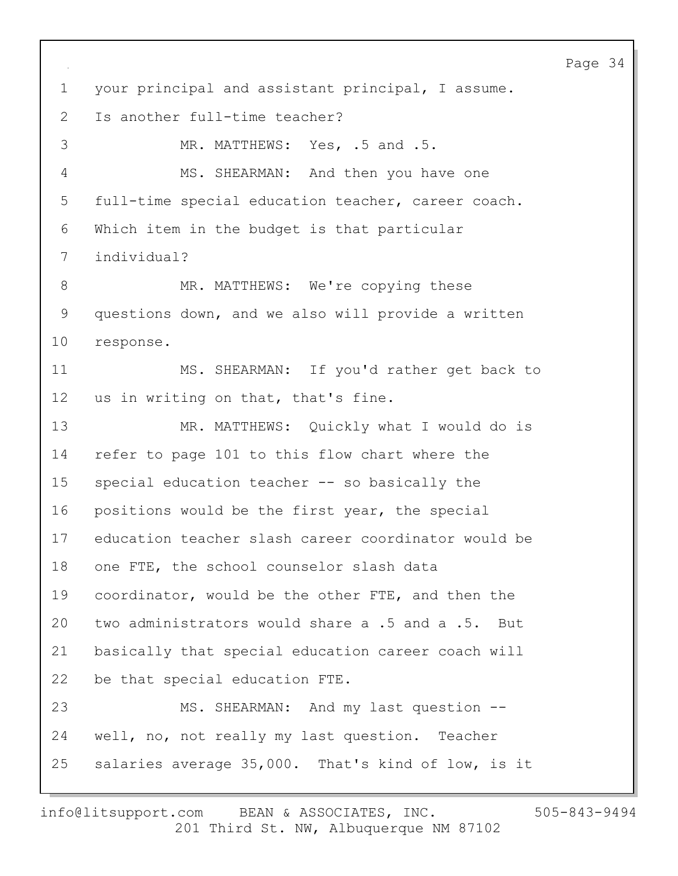1 your principal and assistant principal, I assume. 2 Is another full-time teacher? 3 MR. MATTHEWS: Yes, .5 and .5. 4 MS. SHEARMAN: And then you have one 5 full-time special education teacher, career coach. 6 Which item in the budget is that particular 7 individual? 8 MR. MATTHEWS: We're copying these 9 questions down, and we also will provide a written 10 response. 11 MS. SHEARMAN: If you'd rather get back to 12 us in writing on that, that's fine. 13 MR. MATTHEWS: Quickly what I would do is 14 refer to page 101 to this flow chart where the 15 special education teacher -- so basically the 16 positions would be the first year, the special 17 education teacher slash career coordinator would be 18 one FTE, the school counselor slash data 19 coordinator, would be the other FTE, and then the 20 two administrators would share a .5 and a .5. But 21 basically that special education career coach will 22 be that special education FTE. 23 MS. SHEARMAN: And my last question --24 well, no, not really my last question. Teacher 25 salaries average 35,000. That's kind of low, is it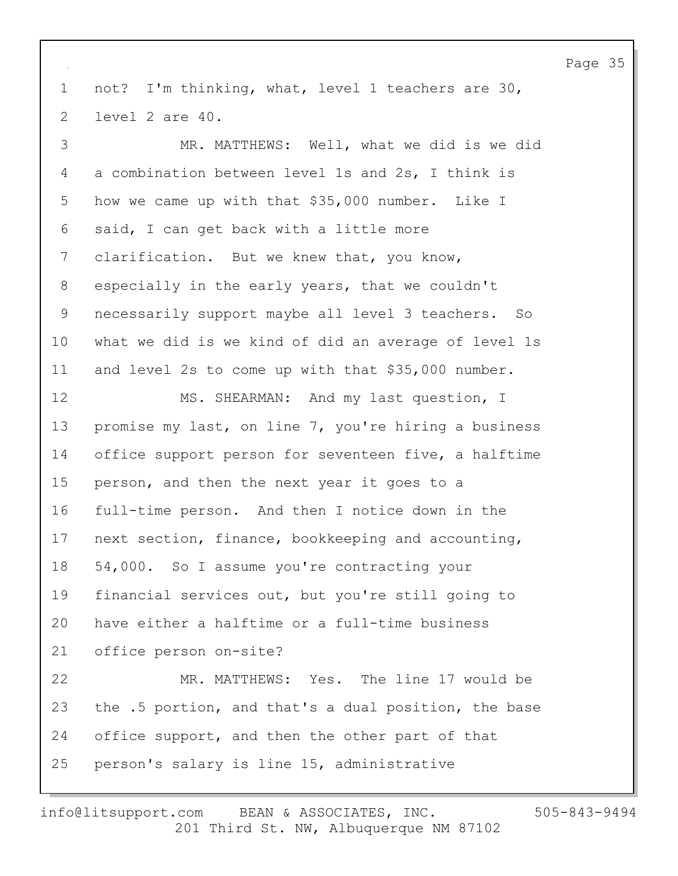1 not? I'm thinking, what, level 1 teachers are 30, 2 level 2 are 40.

3 MR. MATTHEWS: Well, what we did is we did 4 a combination between level 1s and 2s, I think is 5 how we came up with that \$35,000 number. Like I 6 said, I can get back with a little more 7 clarification. But we knew that, you know, 8 especially in the early years, that we couldn't 9 necessarily support maybe all level 3 teachers. So 10 what we did is we kind of did an average of level 1s 11 and level 2s to come up with that \$35,000 number. 12 MS. SHEARMAN: And my last question, I 13 promise my last, on line 7, you're hiring a business 14 office support person for seventeen five, a halftime 15 person, and then the next year it goes to a 16 full-time person. And then I notice down in the 17 next section, finance, bookkeeping and accounting, 18 54,000. So I assume you're contracting your 19 financial services out, but you're still going to 20 have either a halftime or a full-time business 21 office person on-site? 22 MR. MATTHEWS: Yes. The line 17 would be 23 the .5 portion, and that's a dual position, the base 24 office support, and then the other part of that 25 person's salary is line 15, administrative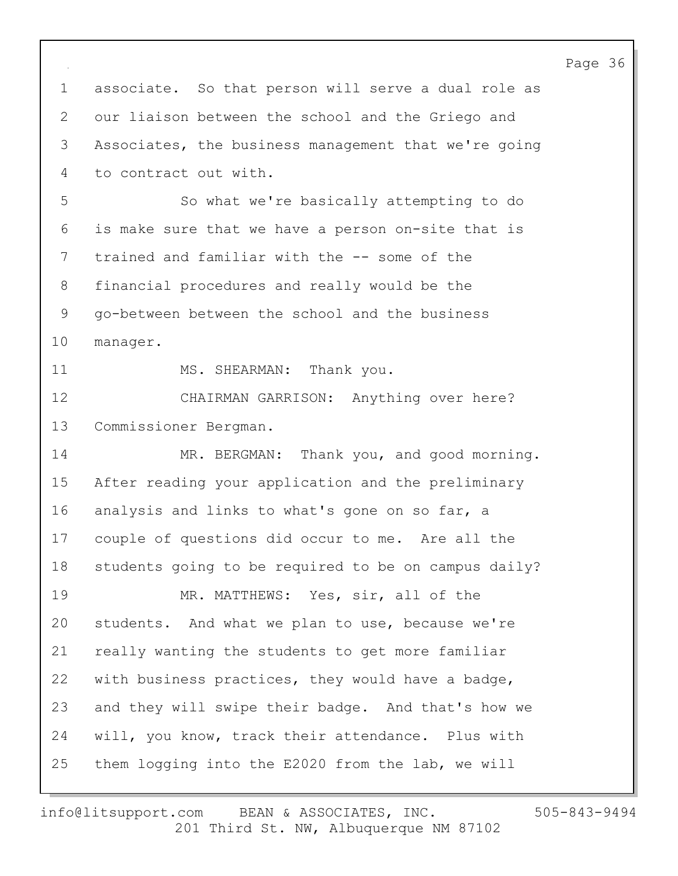Page 36 1 associate. So that person will serve a dual role as 2 our liaison between the school and the Griego and 3 Associates, the business management that we're going 4 to contract out with. 5 So what we're basically attempting to do 6 is make sure that we have a person on-site that is 7 trained and familiar with the -- some of the 8 financial procedures and really would be the 9 go-between between the school and the business 10 manager. 11 MS. SHEARMAN: Thank you. 12 CHAIRMAN GARRISON: Anything over here? 13 Commissioner Bergman. 14 MR. BERGMAN: Thank you, and good morning. 15 After reading your application and the preliminary 16 analysis and links to what's gone on so far, a 17 couple of questions did occur to me. Are all the 18 students going to be required to be on campus daily? 19 MR. MATTHEWS: Yes, sir, all of the 20 students. And what we plan to use, because we're 21 really wanting the students to get more familiar 22 with business practices, they would have a badge, 23 and they will swipe their badge. And that's how we 24 will, you know, track their attendance. Plus with 25 them logging into the E2020 from the lab, we will

201 Third St. NW, Albuquerque NM 87102 info@litsupport.com BEAN & ASSOCIATES, INC. 505-843-9494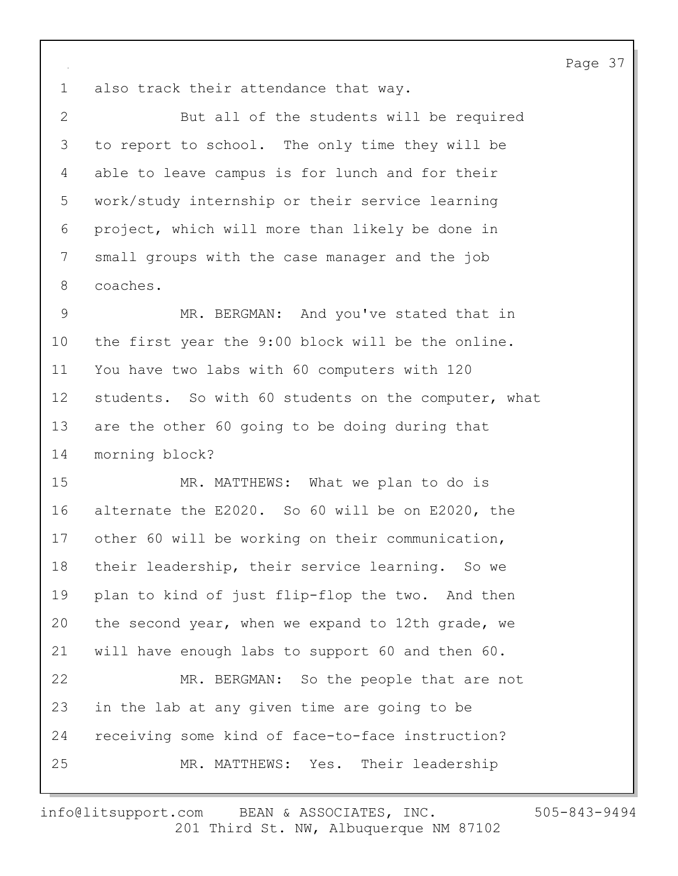1 also track their attendance that way.

2 But all of the students will be required 3 to report to school. The only time they will be 4 able to leave campus is for lunch and for their 5 work/study internship or their service learning 6 project, which will more than likely be done in 7 small groups with the case manager and the job 8 coaches.

9 MR. BERGMAN: And you've stated that in 10 the first year the 9:00 block will be the online. 11 You have two labs with 60 computers with 120 12 students. So with 60 students on the computer, what 13 are the other 60 going to be doing during that 14 morning block?

15 MR. MATTHEWS: What we plan to do is 16 alternate the E2020. So 60 will be on E2020, the 17 other 60 will be working on their communication, 18 their leadership, their service learning. So we 19 plan to kind of just flip-flop the two. And then 20 the second year, when we expand to 12th grade, we 21 will have enough labs to support 60 and then 60. 22 MR. BERGMAN: So the people that are not 23 in the lab at any given time are going to be 24 receiving some kind of face-to-face instruction? 25 MR. MATTHEWS: Yes. Their leadership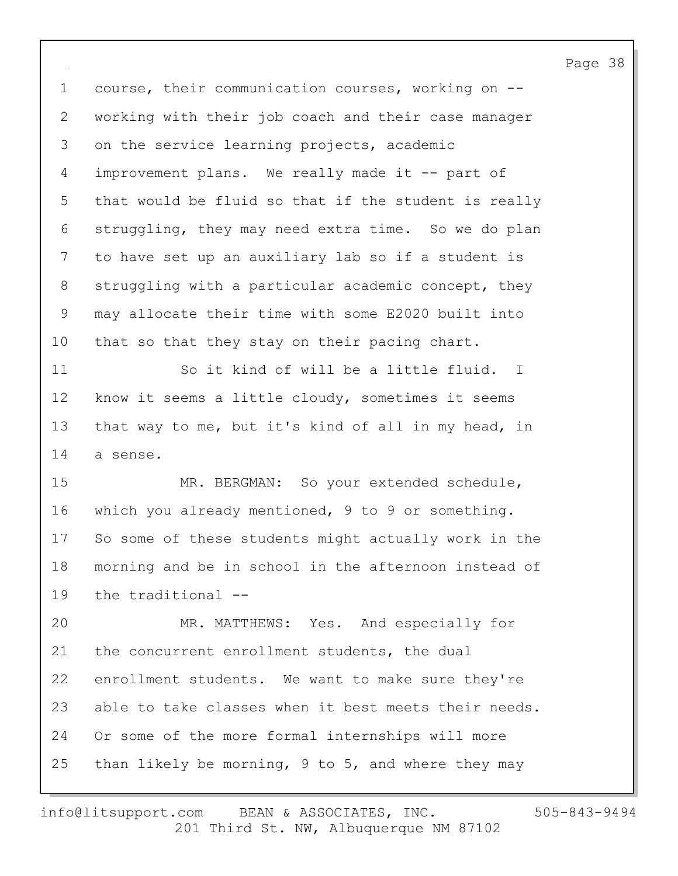1 course, their communication courses, working on -- 2 working with their job coach and their case manager 3 on the service learning projects, academic 4 improvement plans. We really made it -- part of 5 that would be fluid so that if the student is really 6 struggling, they may need extra time. So we do plan 7 to have set up an auxiliary lab so if a student is 8 struggling with a particular academic concept, they 9 may allocate their time with some E2020 built into 10 that so that they stay on their pacing chart. 11 So it kind of will be a little fluid. I 12 know it seems a little cloudy, sometimes it seems 13 that way to me, but it's kind of all in my head, in 14 a sense. 15 MR. BERGMAN: So your extended schedule, 16 which you already mentioned, 9 to 9 or something. 17 So some of these students might actually work in the 18 morning and be in school in the afternoon instead of 19 the traditional -- 20 MR. MATTHEWS: Yes. And especially for 21 the concurrent enrollment students, the dual 22 enrollment students. We want to make sure they're 23 able to take classes when it best meets their needs. 24 Or some of the more formal internships will more 25 than likely be morning, 9 to 5, and where they may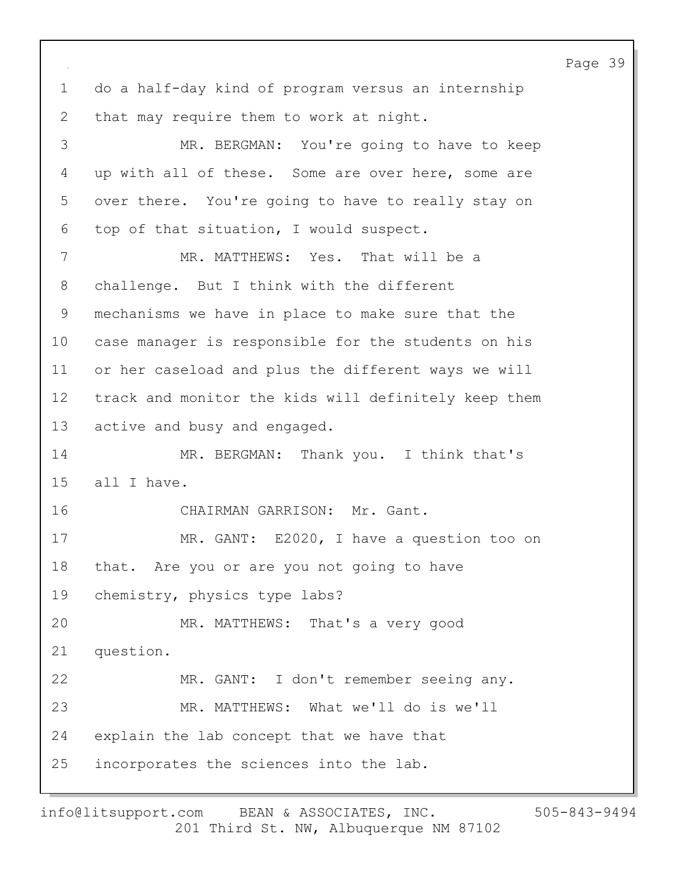Page 39 1 do a half-day kind of program versus an internship 2 that may require them to work at night. 3 MR. BERGMAN: You're going to have to keep 4 up with all of these. Some are over here, some are 5 over there. You're going to have to really stay on 6 top of that situation, I would suspect. 7 MR. MATTHEWS: Yes. That will be a 8 challenge. But I think with the different 9 mechanisms we have in place to make sure that the 10 case manager is responsible for the students on his 11 or her caseload and plus the different ways we will 12 track and monitor the kids will definitely keep them 13 active and busy and engaged. 14 MR. BERGMAN: Thank you. I think that's 15 all I have. 16 CHAIRMAN GARRISON: Mr. Gant. 17 MR. GANT: E2020, I have a question too on 18 that. Are you or are you not going to have 19 chemistry, physics type labs? 20 MR. MATTHEWS: That's a very good 21 question. 22 MR. GANT: I don't remember seeing any. 23 MR. MATTHEWS: What we'll do is we'll 24 explain the lab concept that we have that 25 incorporates the sciences into the lab.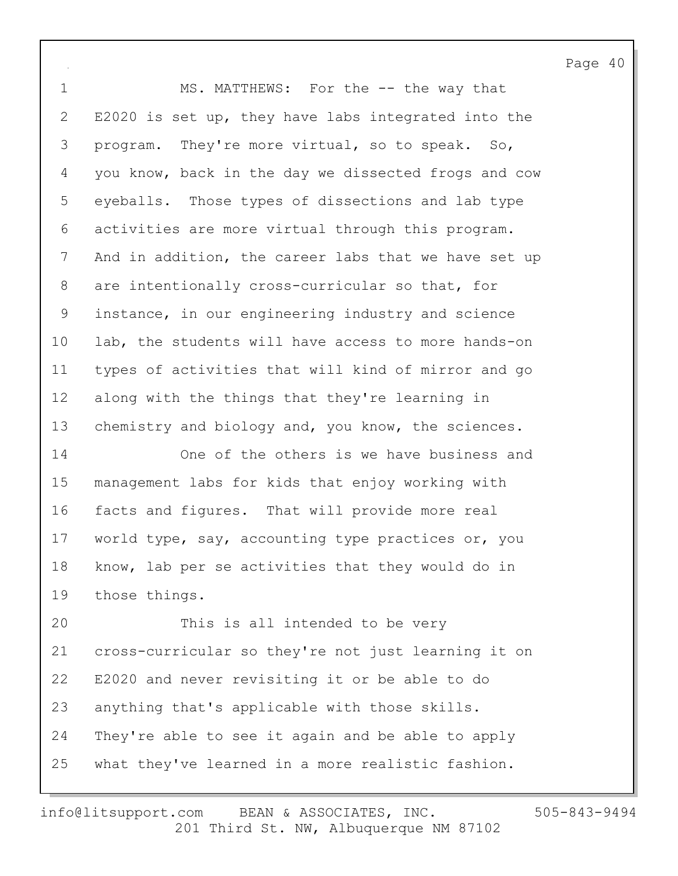1 MS. MATTHEWS: For the -- the way that 2 E2020 is set up, they have labs integrated into the 3 program. They're more virtual, so to speak. So, 4 you know, back in the day we dissected frogs and cow 5 eyeballs. Those types of dissections and lab type 6 activities are more virtual through this program. 7 And in addition, the career labs that we have set up 8 are intentionally cross-curricular so that, for 9 instance, in our engineering industry and science 10 lab, the students will have access to more hands-on 11 types of activities that will kind of mirror and go 12 along with the things that they're learning in 13 chemistry and biology and, you know, the sciences.

14 One of the others is we have business and 15 management labs for kids that enjoy working with 16 facts and figures. That will provide more real 17 world type, say, accounting type practices or, you 18 know, lab per se activities that they would do in 19 those things.

20 This is all intended to be very 21 cross-curricular so they're not just learning it on 22 E2020 and never revisiting it or be able to do 23 anything that's applicable with those skills. 24 They're able to see it again and be able to apply 25 what they've learned in a more realistic fashion.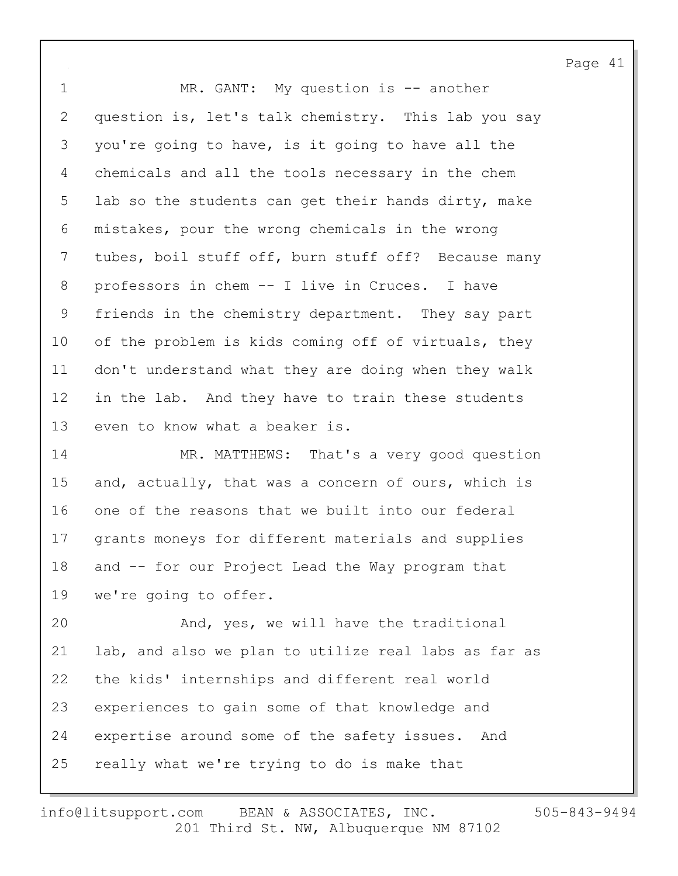1 MR. GANT: My question is -- another 2 question is, let's talk chemistry. This lab you say 3 you're going to have, is it going to have all the 4 chemicals and all the tools necessary in the chem 5 lab so the students can get their hands dirty, make 6 mistakes, pour the wrong chemicals in the wrong 7 tubes, boil stuff off, burn stuff off? Because many 8 professors in chem -- I live in Cruces. I have 9 friends in the chemistry department. They say part 10 of the problem is kids coming off of virtuals, they 11 don't understand what they are doing when they walk 12 in the lab. And they have to train these students 13 even to know what a beaker is.

14 MR. MATTHEWS: That's a very good question 15 and, actually, that was a concern of ours, which is 16 one of the reasons that we built into our federal 17 grants moneys for different materials and supplies 18 and -- for our Project Lead the Way program that 19 we're going to offer.

20 And, yes, we will have the traditional 21 lab, and also we plan to utilize real labs as far as 22 the kids' internships and different real world 23 experiences to gain some of that knowledge and 24 expertise around some of the safety issues. And 25 really what we're trying to do is make that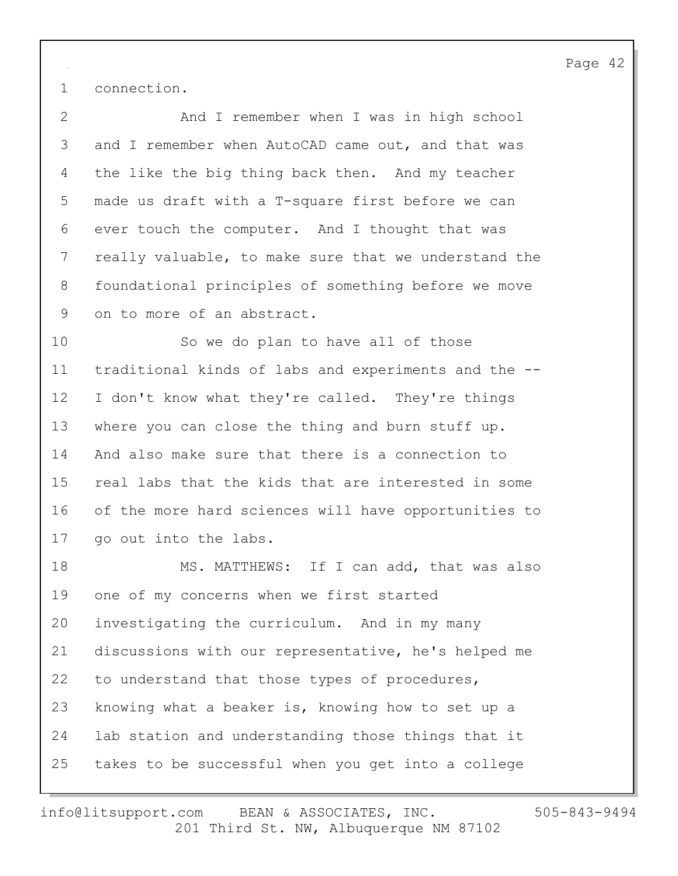1 connection.

2 And I remember when I was in high school 3 and I remember when AutoCAD came out, and that was 4 the like the big thing back then. And my teacher 5 made us draft with a T-square first before we can 6 ever touch the computer. And I thought that was 7 really valuable, to make sure that we understand the 8 foundational principles of something before we move 9 on to more of an abstract.

10 So we do plan to have all of those 11 traditional kinds of labs and experiments and the -- 12 I don't know what they're called. They're things 13 where you can close the thing and burn stuff up. 14 And also make sure that there is a connection to 15 real labs that the kids that are interested in some 16 of the more hard sciences will have opportunities to 17 go out into the labs.

18 MS. MATTHEWS: If I can add, that was also 19 one of my concerns when we first started 20 investigating the curriculum. And in my many 21 discussions with our representative, he's helped me 22 to understand that those types of procedures, 23 knowing what a beaker is, knowing how to set up a 24 lab station and understanding those things that it 25 takes to be successful when you get into a college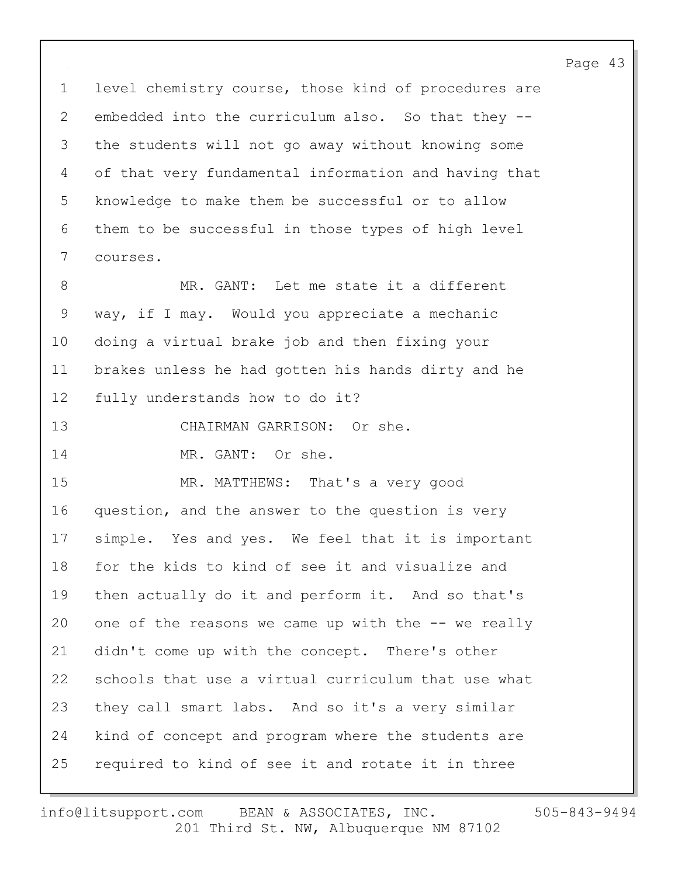1 level chemistry course, those kind of procedures are 2 embedded into the curriculum also. So that they -- 3 the students will not go away without knowing some 4 of that very fundamental information and having that 5 knowledge to make them be successful or to allow 6 them to be successful in those types of high level 7 courses.

8 MR. GANT: Let me state it a different 9 way, if I may. Would you appreciate a mechanic 10 doing a virtual brake job and then fixing your 11 brakes unless he had gotten his hands dirty and he 12 fully understands how to do it?

- 13 CHAIRMAN GARRISON: Or she.
- 14 MR. GANT: Or she.

15 MR. MATTHEWS: That's a very good 16 question, and the answer to the question is very 17 simple. Yes and yes. We feel that it is important 18 for the kids to kind of see it and visualize and 19 then actually do it and perform it. And so that's 20 one of the reasons we came up with the -- we really 21 didn't come up with the concept. There's other 22 schools that use a virtual curriculum that use what 23 they call smart labs. And so it's a very similar 24 kind of concept and program where the students are 25 required to kind of see it and rotate it in three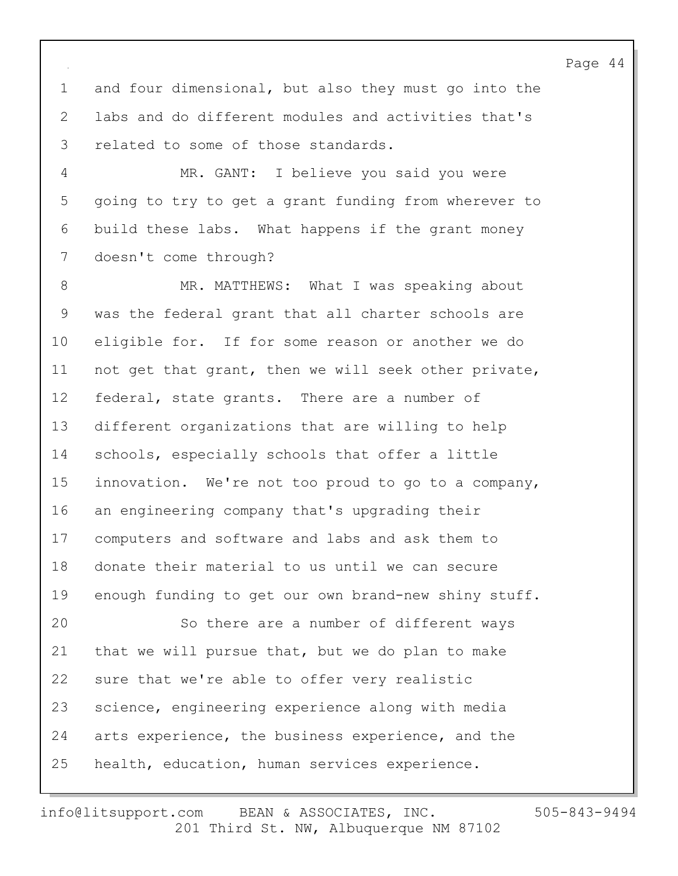1 and four dimensional, but also they must go into the 2 labs and do different modules and activities that's 3 related to some of those standards.

4 MR. GANT: I believe you said you were 5 going to try to get a grant funding from wherever to 6 build these labs. What happens if the grant money 7 doesn't come through?

8 MR. MATTHEWS: What I was speaking about 9 was the federal grant that all charter schools are 10 eligible for. If for some reason or another we do 11 not get that grant, then we will seek other private, 12 federal, state grants. There are a number of 13 different organizations that are willing to help 14 schools, especially schools that offer a little 15 innovation. We're not too proud to go to a company, 16 an engineering company that's upgrading their 17 computers and software and labs and ask them to 18 donate their material to us until we can secure 19 enough funding to get our own brand-new shiny stuff. 20 So there are a number of different ways 21 that we will pursue that, but we do plan to make 22 sure that we're able to offer very realistic 23 science, engineering experience along with media 24 arts experience, the business experience, and the 25 health, education, human services experience.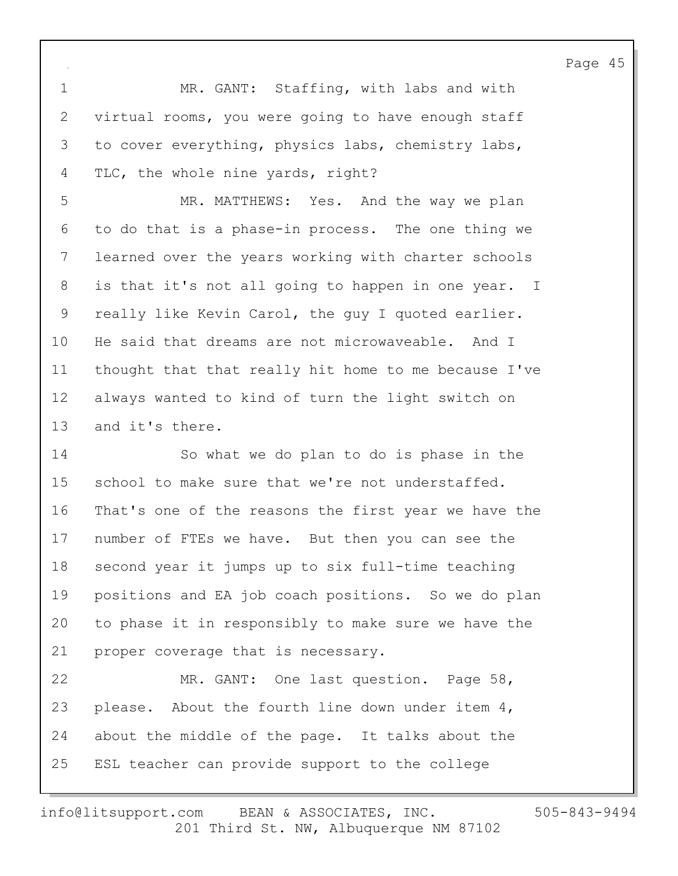1 MR. GANT: Staffing, with labs and with 2 virtual rooms, you were going to have enough staff 3 to cover everything, physics labs, chemistry labs, 4 TLC, the whole nine yards, right?

5 MR. MATTHEWS: Yes. And the way we plan 6 to do that is a phase-in process. The one thing we 7 learned over the years working with charter schools 8 is that it's not all going to happen in one year. I 9 really like Kevin Carol, the guy I quoted earlier. 10 He said that dreams are not microwaveable. And I 11 thought that that really hit home to me because I've 12 always wanted to kind of turn the light switch on 13 and it's there.

14 So what we do plan to do is phase in the 15 school to make sure that we're not understaffed. 16 That's one of the reasons the first year we have the 17 number of FTEs we have. But then you can see the 18 second year it jumps up to six full-time teaching 19 positions and EA job coach positions. So we do plan 20 to phase it in responsibly to make sure we have the 21 proper coverage that is necessary.

22 MR. GANT: One last question. Page 58, 23 please. About the fourth line down under item 4, 24 about the middle of the page. It talks about the 25 ESL teacher can provide support to the college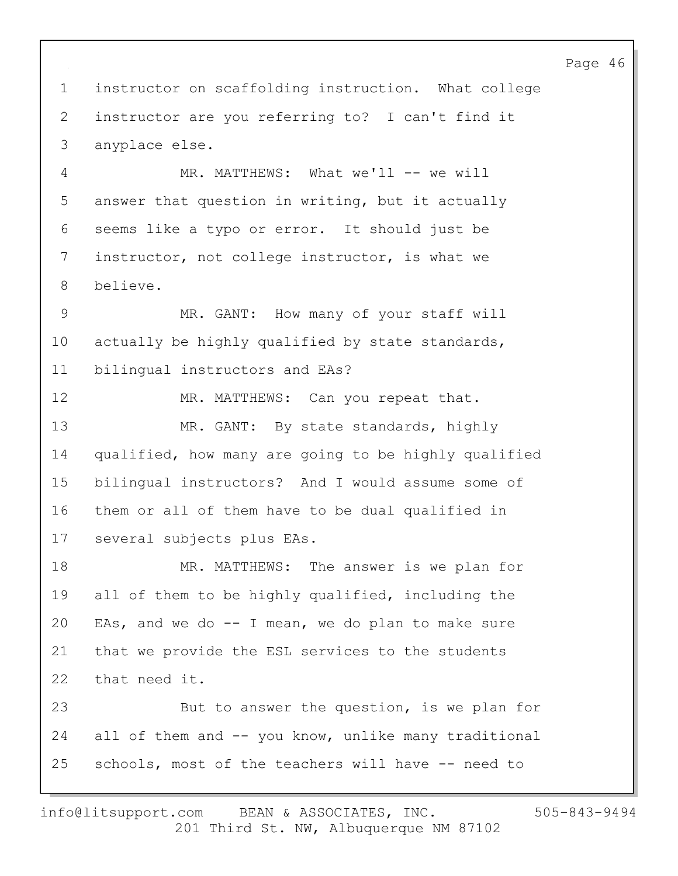2 instructor are you referring to? I can't find it

3 anyplace else.

4 MR. MATTHEWS: What we'll -- we will 5 answer that question in writing, but it actually 6 seems like a typo or error. It should just be 7 instructor, not college instructor, is what we 8 believe.

1 instructor on scaffolding instruction. What college

9 MR. GANT: How many of your staff will 10 actually be highly qualified by state standards, 11 bilingual instructors and EAs?

12 MR. MATTHEWS: Can you repeat that. 13 MR. GANT: By state standards, highly 14 qualified, how many are going to be highly qualified 15 bilingual instructors? And I would assume some of 16 them or all of them have to be dual qualified in 17 several subjects plus EAs.

18 MR. MATTHEWS: The answer is we plan for 19 all of them to be highly qualified, including the 20 EAs, and we do  $-$  I mean, we do plan to make sure 21 that we provide the ESL services to the students 22 that need it.

23 But to answer the question, is we plan for 24 all of them and -- you know, unlike many traditional 25 schools, most of the teachers will have -- need to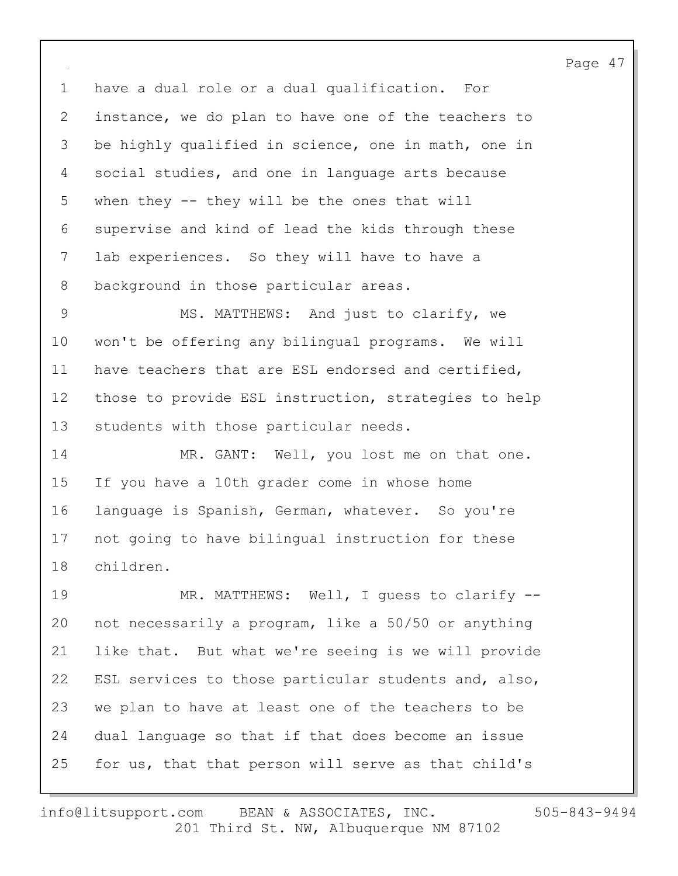1 have a dual role or a dual qualification. For 2 instance, we do plan to have one of the teachers to 3 be highly qualified in science, one in math, one in 4 social studies, and one in language arts because 5 when they -- they will be the ones that will 6 supervise and kind of lead the kids through these 7 lab experiences. So they will have to have a 8 background in those particular areas.

9 MS. MATTHEWS: And just to clarify, we 10 won't be offering any bilingual programs. We will 11 have teachers that are ESL endorsed and certified, 12 those to provide ESL instruction, strategies to help 13 students with those particular needs.

14 MR. GANT: Well, you lost me on that one. 15 If you have a 10th grader come in whose home 16 language is Spanish, German, whatever. So you're 17 not going to have bilingual instruction for these 18 children.

19 MR. MATTHEWS: Well, I guess to clarify --20 not necessarily a program, like a 50/50 or anything 21 like that. But what we're seeing is we will provide 22 ESL services to those particular students and, also, 23 we plan to have at least one of the teachers to be 24 dual language so that if that does become an issue 25 for us, that that person will serve as that child's

201 Third St. NW, Albuquerque NM 87102 info@litsupport.com BEAN & ASSOCIATES, INC. 505-843-9494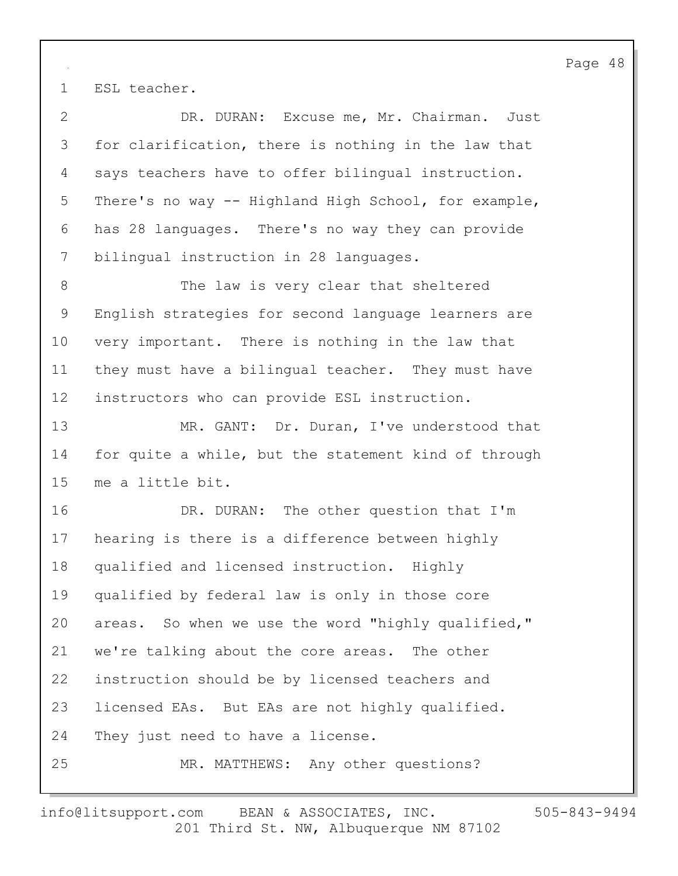1 ESL teacher.

2 DR. DURAN: Excuse me, Mr. Chairman. Just 3 for clarification, there is nothing in the law that 4 says teachers have to offer bilingual instruction. 5 There's no way -- Highland High School, for example, 6 has 28 languages. There's no way they can provide 7 bilingual instruction in 28 languages. 8 The law is very clear that sheltered 9 English strategies for second language learners are 10 very important. There is nothing in the law that 11 they must have a bilingual teacher. They must have 12 instructors who can provide ESL instruction. 13 MR. GANT: Dr. Duran, I've understood that 14 for quite a while, but the statement kind of through 15 me a little bit. 16 DR. DURAN: The other question that I'm 17 hearing is there is a difference between highly 18 qualified and licensed instruction. Highly 19 qualified by federal law is only in those core 20 areas. So when we use the word "highly qualified," 21 we're talking about the core areas. The other 22 instruction should be by licensed teachers and 23 licensed EAs. But EAs are not highly qualified. 24 They just need to have a license. 25 MR. MATTHEWS: Any other questions?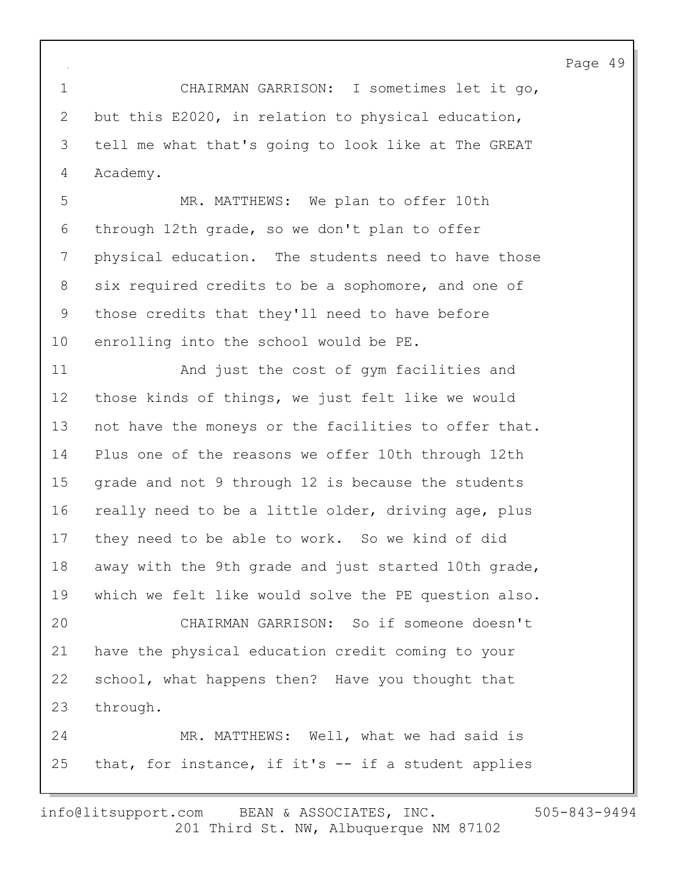1 CHAIRMAN GARRISON: I sometimes let it go, 2 but this E2020, in relation to physical education, 3 tell me what that's going to look like at The GREAT 4 Academy.

5 MR. MATTHEWS: We plan to offer 10th 6 through 12th grade, so we don't plan to offer 7 physical education. The students need to have those 8 six required credits to be a sophomore, and one of 9 those credits that they'll need to have before 10 enrolling into the school would be PE.

11 And just the cost of gym facilities and 12 those kinds of things, we just felt like we would 13 not have the moneys or the facilities to offer that. 14 Plus one of the reasons we offer 10th through 12th 15 grade and not 9 through 12 is because the students 16 really need to be a little older, driving age, plus 17 they need to be able to work. So we kind of did 18 away with the 9th grade and just started 10th grade, 19 which we felt like would solve the PE question also. 20 CHAIRMAN GARRISON: So if someone doesn't 21 have the physical education credit coming to your 22 school, what happens then? Have you thought that 23 through. 24 MR. MATTHEWS: Well, what we had said is 25 that, for instance, if it's -- if a student applies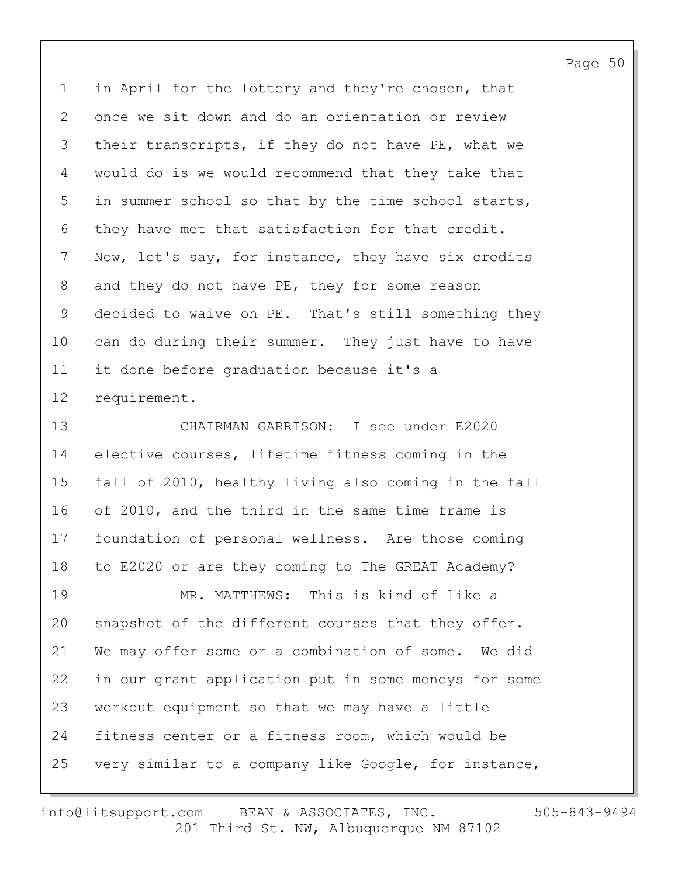1 in April for the lottery and they're chosen, that 2 once we sit down and do an orientation or review 3 their transcripts, if they do not have PE, what we 4 would do is we would recommend that they take that 5 in summer school so that by the time school starts, 6 they have met that satisfaction for that credit. 7 Now, let's say, for instance, they have six credits 8 and they do not have PE, they for some reason 9 decided to waive on PE. That's still something they 10 can do during their summer. They just have to have 11 it done before graduation because it's a 12 requirement.

13 CHAIRMAN GARRISON: I see under E2020 14 elective courses, lifetime fitness coming in the 15 fall of 2010, healthy living also coming in the fall 16 of 2010, and the third in the same time frame is 17 foundation of personal wellness. Are those coming 18 to E2020 or are they coming to The GREAT Academy? 19 MR. MATTHEWS: This is kind of like a 20 snapshot of the different courses that they offer. 21 We may offer some or a combination of some. We did 22 in our grant application put in some moneys for some 23 workout equipment so that we may have a little 24 fitness center or a fitness room, which would be 25 very similar to a company like Google, for instance,

201 Third St. NW, Albuquerque NM 87102 info@litsupport.com BEAN & ASSOCIATES, INC. 505-843-9494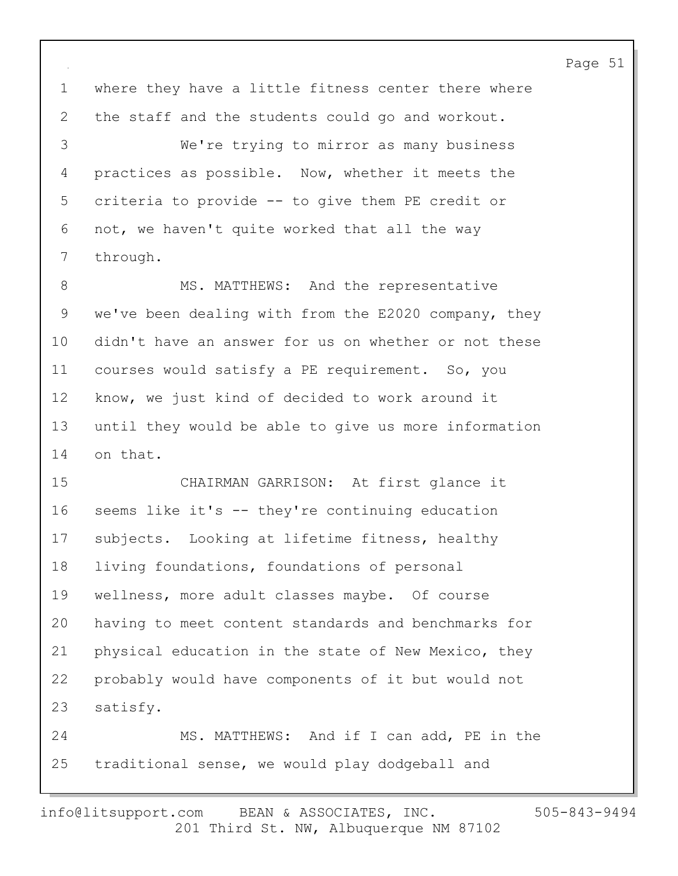1 where they have a little fitness center there where 2 the staff and the students could go and workout.

3 We're trying to mirror as many business 4 practices as possible. Now, whether it meets the 5 criteria to provide -- to give them PE credit or 6 not, we haven't quite worked that all the way 7 through.

8 MS. MATTHEWS: And the representative 9 we've been dealing with from the E2020 company, they 10 didn't have an answer for us on whether or not these 11 courses would satisfy a PE requirement. So, you 12 know, we just kind of decided to work around it 13 until they would be able to give us more information 14 on that.

15 CHAIRMAN GARRISON: At first glance it 16 seems like it's -- they're continuing education 17 subjects. Looking at lifetime fitness, healthy 18 living foundations, foundations of personal 19 wellness, more adult classes maybe. Of course 20 having to meet content standards and benchmarks for 21 physical education in the state of New Mexico, they 22 probably would have components of it but would not 23 satisfy. 24 MS. MATTHEWS: And if I can add, PE in the

25 traditional sense, we would play dodgeball and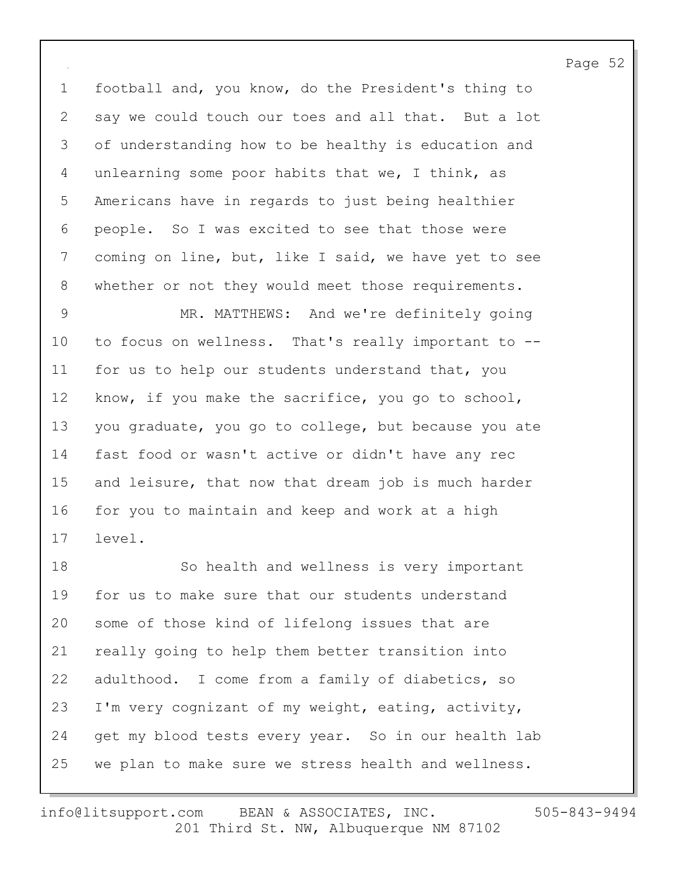1 football and, you know, do the President's thing to 2 say we could touch our toes and all that. But a lot 3 of understanding how to be healthy is education and 4 unlearning some poor habits that we, I think, as 5 Americans have in regards to just being healthier 6 people. So I was excited to see that those were 7 coming on line, but, like I said, we have yet to see 8 whether or not they would meet those requirements.

9 MR. MATTHEWS: And we're definitely going 10 to focus on wellness. That's really important to -- 11 for us to help our students understand that, you 12 know, if you make the sacrifice, you go to school, 13 you graduate, you go to college, but because you ate 14 fast food or wasn't active or didn't have any rec 15 and leisure, that now that dream job is much harder 16 for you to maintain and keep and work at a high 17 level.

18 So health and wellness is very important 19 for us to make sure that our students understand 20 some of those kind of lifelong issues that are 21 really going to help them better transition into 22 adulthood. I come from a family of diabetics, so 23 I'm very cognizant of my weight, eating, activity, 24 get my blood tests every year. So in our health lab 25 we plan to make sure we stress health and wellness.

201 Third St. NW, Albuquerque NM 87102 info@litsupport.com BEAN & ASSOCIATES, INC. 505-843-9494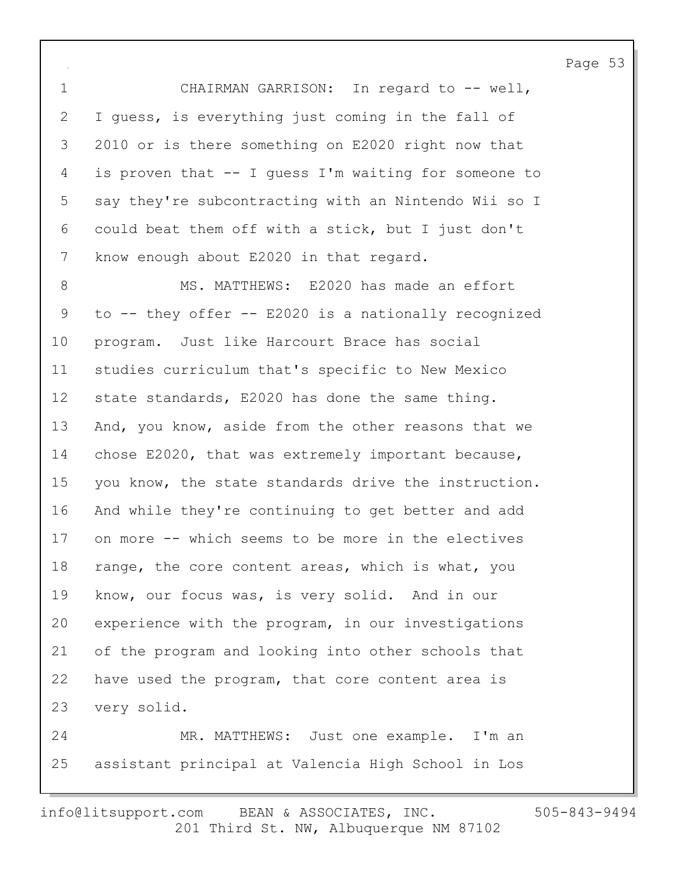1 CHAIRMAN GARRISON: In regard to -- well, 2 I guess, is everything just coming in the fall of 3 2010 or is there something on E2020 right now that 4 is proven that -- I guess I'm waiting for someone to 5 say they're subcontracting with an Nintendo Wii so I 6 could beat them off with a stick, but I just don't 7 know enough about E2020 in that regard.

8 MS. MATTHEWS: E2020 has made an effort 9 to -- they offer -- E2020 is a nationally recognized 10 program. Just like Harcourt Brace has social 11 studies curriculum that's specific to New Mexico 12 state standards, E2020 has done the same thing. 13 And, you know, aside from the other reasons that we 14 chose E2020, that was extremely important because, 15 you know, the state standards drive the instruction. 16 And while they're continuing to get better and add 17 on more -- which seems to be more in the electives 18 range, the core content areas, which is what, you 19 know, our focus was, is very solid. And in our 20 experience with the program, in our investigations 21 of the program and looking into other schools that 22 have used the program, that core content area is 23 very solid. 24 MR. MATTHEWS: Just one example. I'm an 25 assistant principal at Valencia High School in Los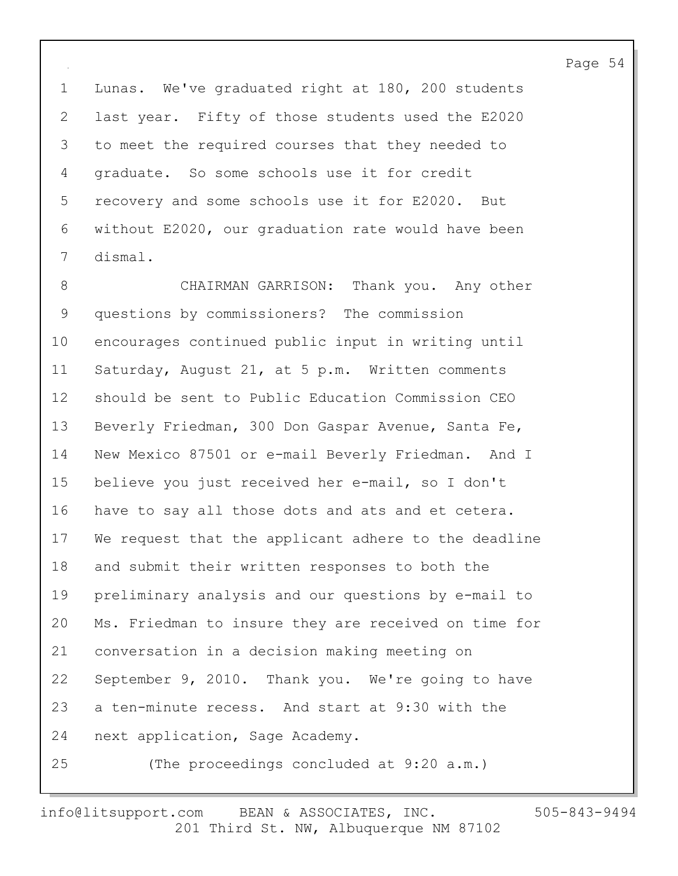1 Lunas. We've graduated right at 180, 200 students 2 last year. Fifty of those students used the E2020 3 to meet the required courses that they needed to 4 graduate. So some schools use it for credit 5 recovery and some schools use it for E2020. But 6 without E2020, our graduation rate would have been 7 dismal.

8 CHAIRMAN GARRISON: Thank you. Any other 9 questions by commissioners? The commission 10 encourages continued public input in writing until 11 Saturday, August 21, at 5 p.m. Written comments 12 should be sent to Public Education Commission CEO 13 Beverly Friedman, 300 Don Gaspar Avenue, Santa Fe, 14 New Mexico 87501 or e-mail Beverly Friedman. And I 15 believe you just received her e-mail, so I don't 16 have to say all those dots and ats and et cetera. 17 We request that the applicant adhere to the deadline 18 and submit their written responses to both the 19 preliminary analysis and our questions by e-mail to 20 Ms. Friedman to insure they are received on time for 21 conversation in a decision making meeting on 22 September 9, 2010. Thank you. We're going to have 23 a ten-minute recess. And start at 9:30 with the 24 next application, Sage Academy. 25 (The proceedings concluded at 9:20 a.m.)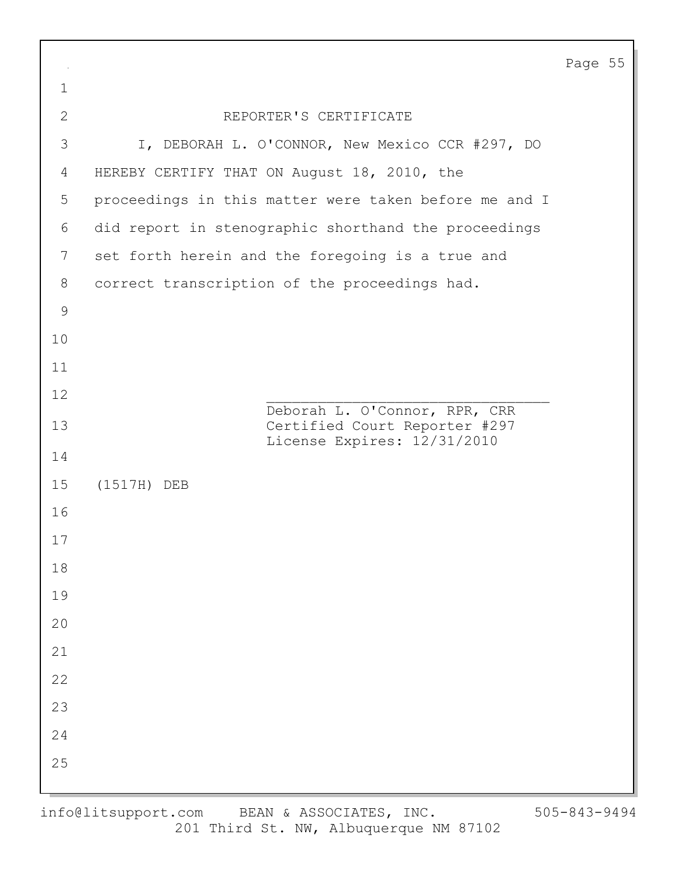| $\sim$        |                                                              | Page 55 |  |
|---------------|--------------------------------------------------------------|---------|--|
| $\mathbf 1$   |                                                              |         |  |
| $\mathbf{2}$  | REPORTER'S CERTIFICATE                                       |         |  |
| 3             | I, DEBORAH L. O'CONNOR, New Mexico CCR #297, DO              |         |  |
| 4             | HEREBY CERTIFY THAT ON August 18, 2010, the                  |         |  |
| 5             | proceedings in this matter were taken before me and I        |         |  |
| 6             | did report in stenographic shorthand the proceedings         |         |  |
| 7             | set forth herein and the foregoing is a true and             |         |  |
| 8             | correct transcription of the proceedings had.                |         |  |
| $\mathcal{G}$ |                                                              |         |  |
| 10            |                                                              |         |  |
| 11            |                                                              |         |  |
| 12            | Deborah L. O'Connor, RPR, CRR                                |         |  |
| 13            | Certified Court Reporter #297<br>License Expires: 12/31/2010 |         |  |
| 14            |                                                              |         |  |
| 15            | (1517H) DEB                                                  |         |  |
| 16            |                                                              |         |  |
| 17            |                                                              |         |  |
| $18\,$        |                                                              |         |  |
| 19            |                                                              |         |  |
| $20$          |                                                              |         |  |
| 21            |                                                              |         |  |
| 22            |                                                              |         |  |
| 23            |                                                              |         |  |
| 24            |                                                              |         |  |
| 25            |                                                              |         |  |
|               |                                                              |         |  |

 $\Gamma$